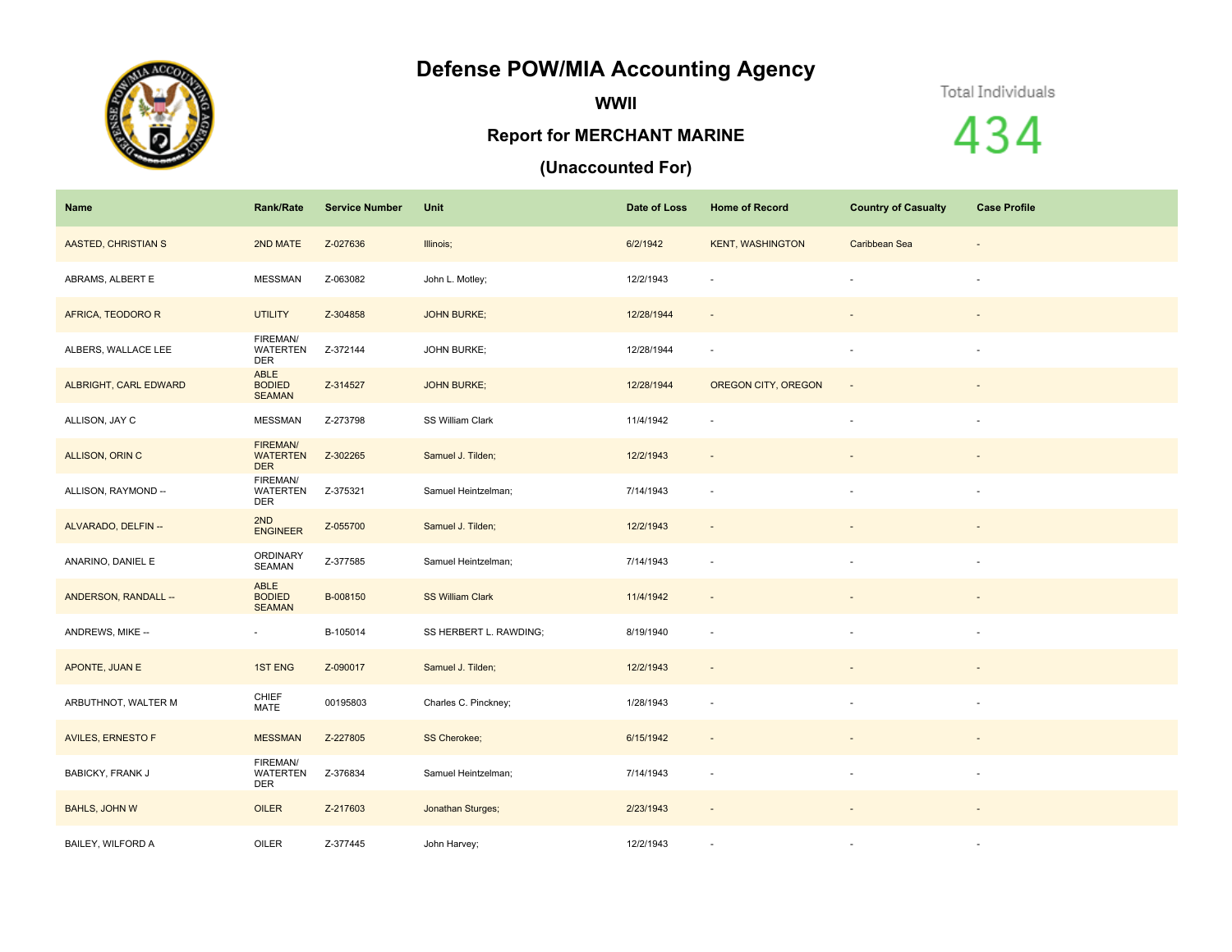## **Defense POW/MIA Accounting Agency**



**WWII**

## **Report for MERCHANT MARINE**

## **(Unaccounted For)**

Total Individuals

434

| Name                     | Rank/Rate                                 | <b>Service Number</b> | Unit                    | Date of Loss | <b>Home of Record</b>    | <b>Country of Casualty</b> | <b>Case Profile</b>      |
|--------------------------|-------------------------------------------|-----------------------|-------------------------|--------------|--------------------------|----------------------------|--------------------------|
| AASTED, CHRISTIAN S      | 2ND MATE                                  | Z-027636              | Illinois;               | 6/2/1942     | <b>KENT, WASHINGTON</b>  | Caribbean Sea              | $\sim$                   |
| ABRAMS, ALBERT E         | <b>MESSMAN</b>                            | Z-063082              | John L. Motley;         | 12/2/1943    | $\overline{\phantom{a}}$ |                            | $\overline{\phantom{a}}$ |
| AFRICA, TEODORO R        | <b>UTILITY</b>                            | Z-304858              | <b>JOHN BURKE;</b>      | 12/28/1944   | $\sim$                   |                            |                          |
| ALBERS, WALLACE LEE      | FIREMAN/<br><b>WATERTEN</b><br>DER        | Z-372144              | <b>JOHN BURKE;</b>      | 12/28/1944   | $\overline{\phantom{a}}$ |                            | $\overline{\phantom{a}}$ |
| ALBRIGHT, CARL EDWARD    | ABLE<br><b>BODIED</b><br><b>SEAMAN</b>    | Z-314527              | <b>JOHN BURKE;</b>      | 12/28/1944   | OREGON CITY, OREGON      |                            |                          |
| ALLISON, JAY C           | <b>MESSMAN</b>                            | Z-273798              | SS William Clark        | 11/4/1942    | ×.                       |                            | $\sim$                   |
| ALLISON, ORIN C          | FIREMAN/<br><b>WATERTEN</b><br><b>DER</b> | Z-302265              | Samuel J. Tilden;       | 12/2/1943    | $\overline{\phantom{a}}$ |                            |                          |
| ALLISON, RAYMOND --      | FIREMAN/<br><b>WATERTEN</b><br>DER        | Z-375321              | Samuel Heintzelman;     | 7/14/1943    | $\overline{\phantom{a}}$ |                            | $\overline{\phantom{a}}$ |
| ALVARADO, DELFIN --      | 2ND<br><b>ENGINEER</b>                    | Z-055700              | Samuel J. Tilden;       | 12/2/1943    | $\overline{\phantom{a}}$ |                            |                          |
| ANARINO, DANIEL E        | ORDINARY<br>SEAMAN                        | Z-377585              | Samuel Heintzelman;     | 7/14/1943    | $\sim$                   |                            | $\sim$                   |
| ANDERSON, RANDALL --     | ABLE<br><b>BODIED</b><br><b>SEAMAN</b>    | B-008150              | <b>SS William Clark</b> | 11/4/1942    | $\overline{\phantom{a}}$ |                            |                          |
| ANDREWS, MIKE --         | $\sim$                                    | B-105014              | SS HERBERT L. RAWDING;  | 8/19/1940    | $\sim$                   |                            | $\overline{\phantom{a}}$ |
| APONTE, JUAN E           | 1ST ENG                                   | Z-090017              | Samuel J. Tilden;       | 12/2/1943    | $\overline{\phantom{a}}$ |                            |                          |
| ARBUTHNOT, WALTER M      | CHIEF<br>MATE                             | 00195803              | Charles C. Pinckney;    | 1/28/1943    | $\overline{\phantom{a}}$ |                            | $\overline{\phantom{a}}$ |
| <b>AVILES, ERNESTO F</b> | <b>MESSMAN</b>                            | Z-227805              | <b>SS Cherokee;</b>     | 6/15/1942    | $\sim$                   |                            | $\sim$                   |
| <b>BABICKY, FRANK J</b>  | FIREMAN/<br><b>WATERTEN</b><br><b>DER</b> | Z-376834              | Samuel Heintzelman;     | 7/14/1943    | $\overline{\phantom{a}}$ |                            | $\overline{\phantom{a}}$ |
| <b>BAHLS, JOHN W</b>     | OILER                                     | Z-217603              | Jonathan Sturges;       | 2/23/1943    | $\overline{\phantom{a}}$ | $\overline{\phantom{a}}$   | $\sim$                   |
| <b>BAILEY, WILFORD A</b> | OILER                                     | Z-377445              | John Harvey;            | 12/2/1943    | $\overline{\phantom{a}}$ |                            | $\sim$                   |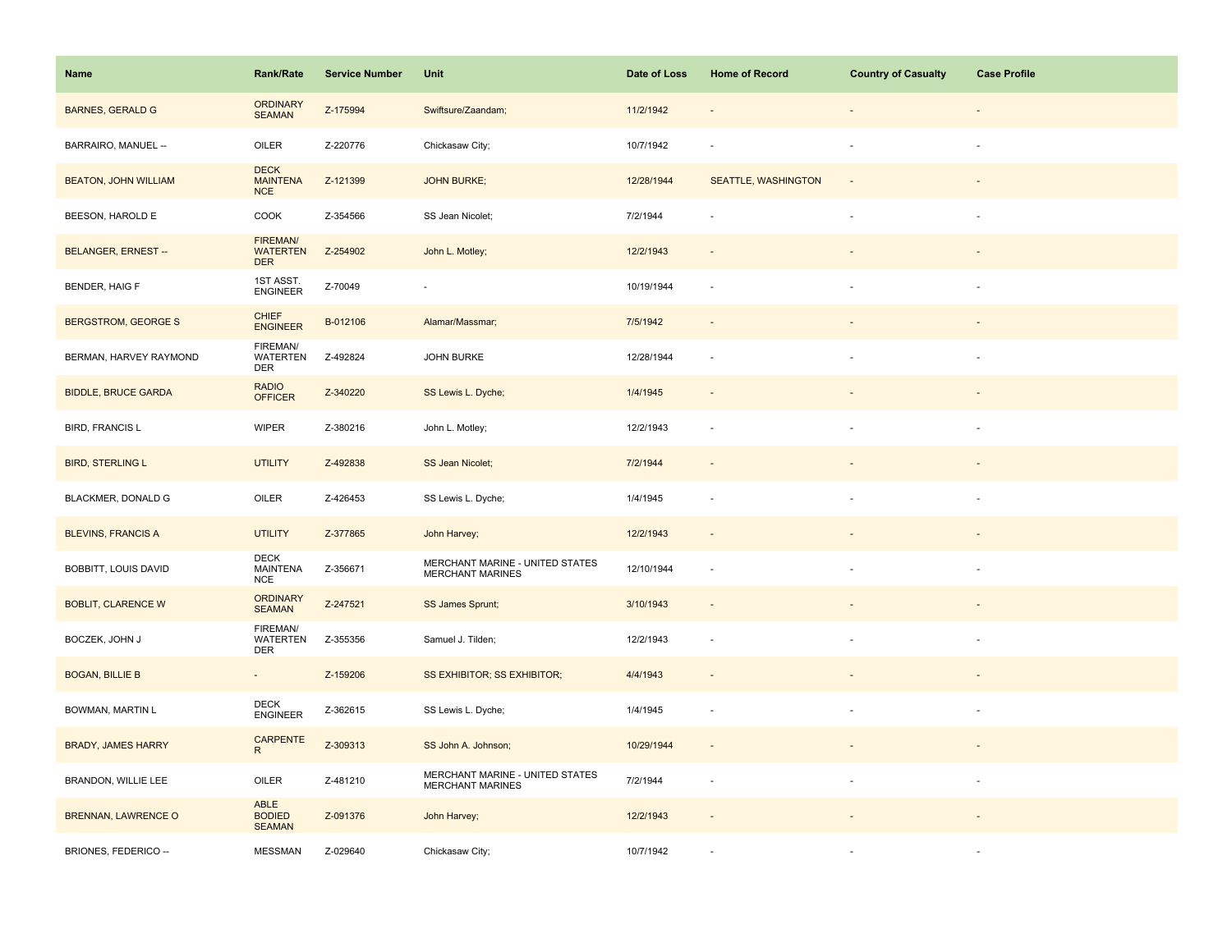| Name                        | <b>Rank/Rate</b>                             | <b>Service Number</b> | Unit                                                       | Date of Loss | <b>Home of Record</b> | <b>Country of Casualty</b> | <b>Case Profile</b> |
|-----------------------------|----------------------------------------------|-----------------------|------------------------------------------------------------|--------------|-----------------------|----------------------------|---------------------|
| <b>BARNES, GERALD G</b>     | <b>ORDINARY</b><br><b>SEAMAN</b>             | Z-175994              | Swiftsure/Zaandam;                                         | 11/2/1942    |                       |                            |                     |
| BARRAIRO, MANUEL --         | OILER                                        | Z-220776              | Chickasaw City;                                            | 10/7/1942    |                       |                            |                     |
| <b>BEATON, JOHN WILLIAM</b> | <b>DECK</b><br><b>MAINTENA</b><br><b>NCE</b> | Z-121399              | <b>JOHN BURKE;</b>                                         | 12/28/1944   | SEATTLE, WASHINGTON   |                            |                     |
| BEESON, HAROLD E            | COOK                                         | Z-354566              | SS Jean Nicolet;                                           | 7/2/1944     |                       |                            |                     |
| <b>BELANGER, ERNEST--</b>   | FIREMAN/<br><b>WATERTEN</b><br><b>DER</b>    | Z-254902              | John L. Motley;                                            | 12/2/1943    |                       |                            |                     |
| BENDER, HAIG F              | 1ST ASST.<br><b>ENGINEER</b>                 | Z-70049               | $\sim$                                                     | 10/19/1944   | $\sim$                |                            |                     |
| BERGSTROM, GEORGE S         | <b>CHIEF</b><br><b>ENGINEER</b>              | B-012106              | Alamar/Massmar;                                            | 7/5/1942     |                       |                            |                     |
| BERMAN, HARVEY RAYMOND      | FIREMAN/<br>WATERTEN<br><b>DER</b>           | Z-492824              | JOHN BURKE                                                 | 12/28/1944   | $\sim$                |                            |                     |
| <b>BIDDLE, BRUCE GARDA</b>  | <b>RADIO</b><br><b>OFFICER</b>               | Z-340220              | SS Lewis L. Dyche;                                         | 1/4/1945     | $\sim$                |                            |                     |
| <b>BIRD, FRANCIS L</b>      | <b>WIPER</b>                                 | Z-380216              | John L. Motley;                                            | 12/2/1943    | $\sim$                |                            | $\sim$              |
| <b>BIRD, STERLING L</b>     | <b>UTILITY</b>                               | Z-492838              | SS Jean Nicolet;                                           | 7/2/1944     |                       |                            |                     |
| BLACKMER, DONALD G          | OILER                                        | Z-426453              | SS Lewis L. Dyche;                                         | 1/4/1945     |                       |                            |                     |
| <b>BLEVINS, FRANCIS A</b>   | <b>UTILITY</b>                               | Z-377865              | John Harvey;                                               | 12/2/1943    |                       |                            |                     |
| BOBBITT, LOUIS DAVID        | <b>DECK</b><br><b>MAINTENA</b><br><b>NCE</b> | Z-356671              | MERCHANT MARINE - UNITED STATES<br><b>MERCHANT MARINES</b> | 12/10/1944   | ÷.                    |                            |                     |
| <b>BOBLIT, CLARENCE W</b>   | <b>ORDINARY</b><br><b>SEAMAN</b>             | Z-247521              | SS James Sprunt;                                           | 3/10/1943    |                       |                            |                     |
| BOCZEK, JOHN J              | FIREMAN/<br><b>WATERTEN</b><br><b>DER</b>    | Z-355356              | Samuel J. Tilden;                                          | 12/2/1943    |                       |                            |                     |
| <b>BOGAN, BILLIE B</b>      | $\sim$                                       | Z-159206              | SS EXHIBITOR; SS EXHIBITOR;                                | 4/4/1943     |                       |                            |                     |
| BOWMAN, MARTIN L            | <b>DECK</b><br><b>ENGINEER</b>               | Z-362615              | SS Lewis L. Dyche;                                         | 1/4/1945     | $\sim$                |                            |                     |
| <b>BRADY, JAMES HARRY</b>   | CARPENTE<br>R                                | Z-309313              | SS John A. Johnson;                                        | 10/29/1944   |                       |                            |                     |
| BRANDON, WILLIE LEE         | OILER                                        | Z-481210              | MERCHANT MARINE - UNITED STATES<br><b>MERCHANT MARINES</b> | 7/2/1944     | $\sim$                | $\overline{\phantom{a}}$   | $\sim$              |
| <b>BRENNAN, LAWRENCE O</b>  | ABLE<br><b>BODIED</b><br><b>SEAMAN</b>       | Z-091376              | John Harvey;                                               | 12/2/1943    | $\sim$                |                            |                     |
| BRIONES, FEDERICO --        | <b>MESSMAN</b>                               | Z-029640              | Chickasaw City;                                            | 10/7/1942    |                       |                            |                     |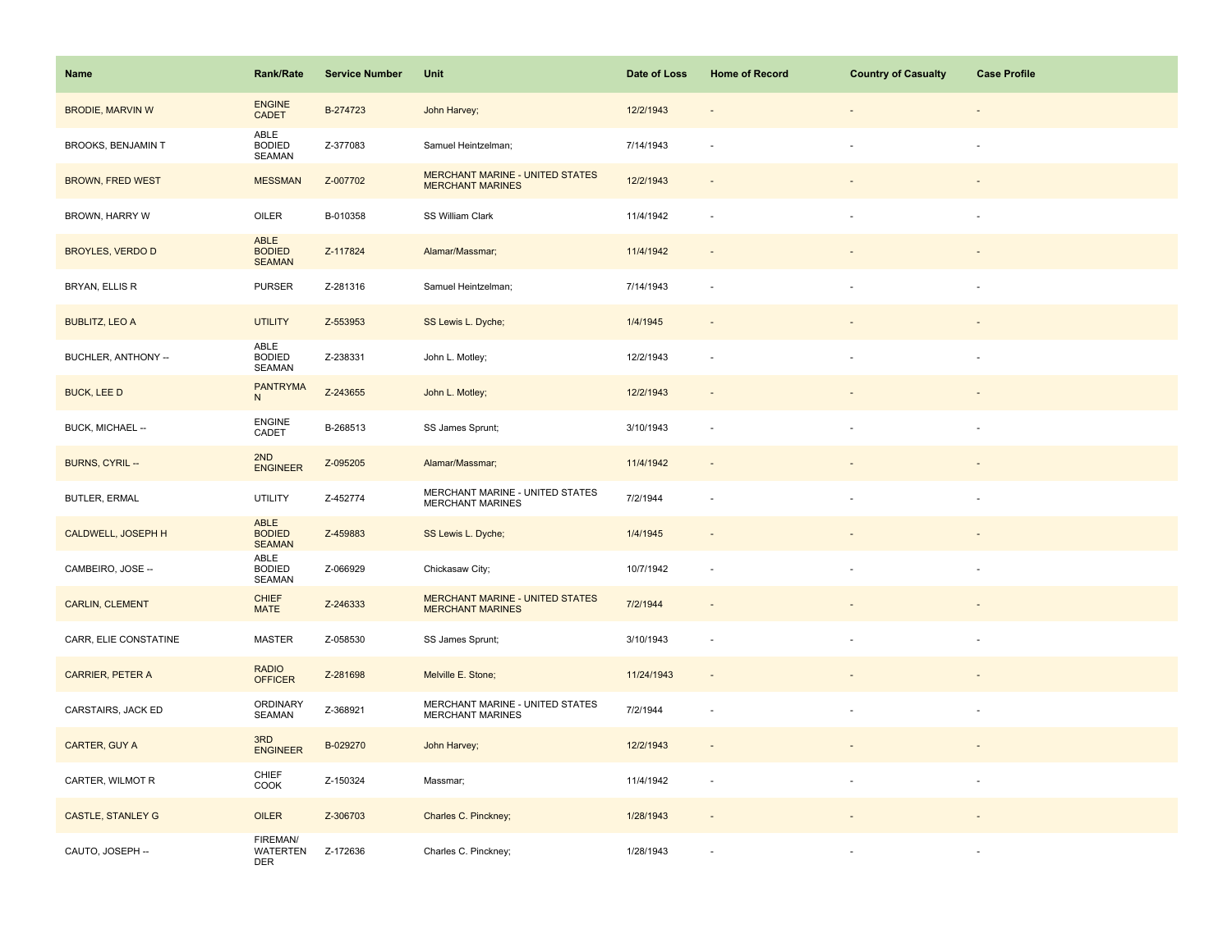| Name                      | <b>Rank/Rate</b>                          | <b>Service Number</b> | Unit                                                              | Date of Loss | <b>Home of Record</b>    | <b>Country of Casualty</b> | <b>Case Profile</b> |
|---------------------------|-------------------------------------------|-----------------------|-------------------------------------------------------------------|--------------|--------------------------|----------------------------|---------------------|
| <b>BRODIE, MARVIN W</b>   | <b>ENGINE</b><br>CADET                    | B-274723              | John Harvey;                                                      | 12/2/1943    |                          |                            |                     |
| <b>BROOKS, BENJAMIN T</b> | ABLE<br><b>BODIED</b><br>SEAMAN           | Z-377083              | Samuel Heintzelman;                                               | 7/14/1943    |                          |                            |                     |
| <b>BROWN, FRED WEST</b>   | <b>MESSMAN</b>                            | Z-007702              | <b>MERCHANT MARINE - UNITED STATES</b><br><b>MERCHANT MARINES</b> | 12/2/1943    | $\overline{\phantom{a}}$ |                            |                     |
| BROWN, HARRY W            | OILER                                     | B-010358              | SS William Clark                                                  | 11/4/1942    | $\sim$                   |                            |                     |
| <b>BROYLES, VERDO D</b>   | ABLE<br><b>BODIED</b><br><b>SEAMAN</b>    | Z-117824              | Alamar/Massmar;                                                   | 11/4/1942    |                          |                            |                     |
| BRYAN, ELLIS R            | <b>PURSER</b>                             | Z-281316              | Samuel Heintzelman;                                               | 7/14/1943    |                          |                            |                     |
| <b>BUBLITZ, LEO A</b>     | <b>UTILITY</b>                            | Z-553953              | SS Lewis L. Dyche;                                                | 1/4/1945     |                          |                            |                     |
| BUCHLER, ANTHONY --       | ABLE<br><b>BODIED</b><br>SEAMAN           | Z-238331              | John L. Motley;                                                   | 12/2/1943    |                          |                            |                     |
| <b>BUCK, LEE D</b>        | <b>PANTRYMA</b><br>N                      | Z-243655              | John L. Motley;                                                   | 12/2/1943    |                          |                            |                     |
| BUCK, MICHAEL --          | <b>ENGINE</b><br>CADET                    | B-268513              | SS James Sprunt;                                                  | 3/10/1943    |                          |                            |                     |
| BURNS, CYRIL --           | 2ND<br><b>ENGINEER</b>                    | Z-095205              | Alamar/Massmar;                                                   | 11/4/1942    | $\sim$                   |                            |                     |
| <b>BUTLER, ERMAL</b>      | <b>UTILITY</b>                            | Z-452774              | MERCHANT MARINE - UNITED STATES<br><b>MERCHANT MARINES</b>        | 7/2/1944     |                          |                            |                     |
| <b>CALDWELL, JOSEPH H</b> | ABLE<br><b>BODIED</b><br><b>SEAMAN</b>    | Z-459883              | SS Lewis L. Dyche;                                                | 1/4/1945     |                          |                            |                     |
| CAMBEIRO, JOSE --         | ABLE<br><b>BODIED</b><br>SEAMAN           | Z-066929              | Chickasaw City;                                                   | 10/7/1942    | $\sim$                   |                            |                     |
| <b>CARLIN, CLEMENT</b>    | <b>CHIEF</b><br><b>MATE</b>               | Z-246333              | <b>MERCHANT MARINE - UNITED STATES</b><br><b>MERCHANT MARINES</b> | 7/2/1944     |                          |                            |                     |
| CARR, ELIE CONSTATINE     | <b>MASTER</b>                             | Z-058530              | SS James Sprunt;                                                  | 3/10/1943    |                          |                            |                     |
| <b>CARRIER, PETER A</b>   | <b>RADIO</b><br><b>OFFICER</b>            | Z-281698              | Melville E. Stone;                                                | 11/24/1943   |                          |                            |                     |
| CARSTAIRS, JACK ED        | <b>ORDINARY</b><br>SEAMAN                 | Z-368921              | MERCHANT MARINE - UNITED STATES<br><b>MERCHANT MARINES</b>        | 7/2/1944     | $\sim$                   |                            | $\sim$              |
| CARTER, GUY A             | 3RD<br><b>ENGINEER</b>                    | B-029270              | John Harvey;                                                      | 12/2/1943    | $\sim$                   |                            |                     |
| CARTER, WILMOT R          | CHIEF<br>COOK                             | Z-150324              | Massmar;                                                          | 11/4/1942    | $\sim$                   |                            |                     |
| <b>CASTLE, STANLEY G</b>  | <b>OILER</b>                              | Z-306703              | Charles C. Pinckney;                                              | 1/28/1943    |                          |                            |                     |
| CAUTO, JOSEPH --          | FIREMAN/<br><b>WATERTEN</b><br><b>DER</b> | Z-172636              | Charles C. Pinckney;                                              | 1/28/1943    |                          |                            |                     |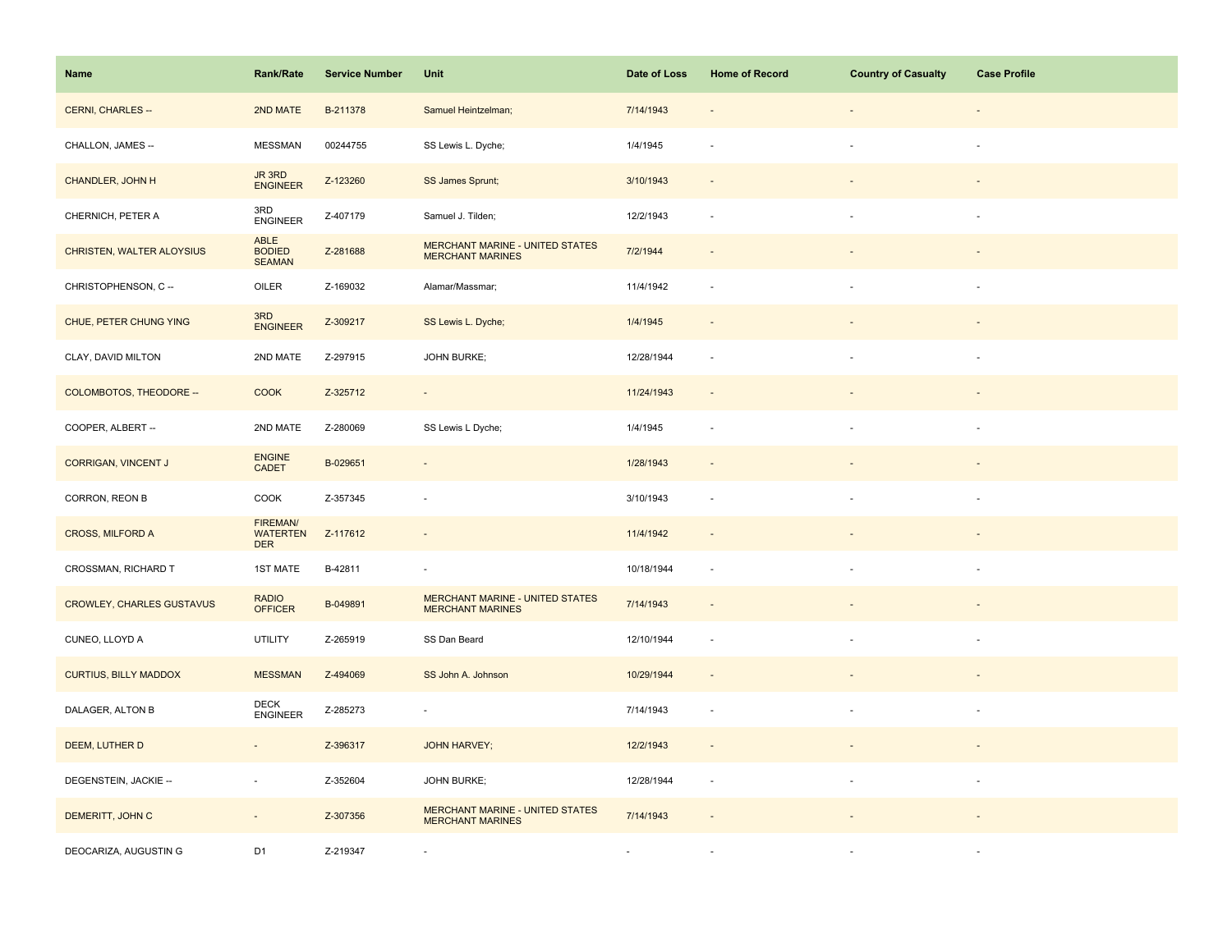| Name                             | <b>Rank/Rate</b>                          | <b>Service Number</b> | Unit                                                              | Date of Loss | <b>Home of Record</b>    | <b>Country of Casualty</b> | <b>Case Profile</b> |
|----------------------------------|-------------------------------------------|-----------------------|-------------------------------------------------------------------|--------------|--------------------------|----------------------------|---------------------|
| CERNI, CHARLES --                | 2ND MATE                                  | B-211378              | Samuel Heintzelman;                                               | 7/14/1943    |                          |                            |                     |
| CHALLON, JAMES --                | <b>MESSMAN</b>                            | 00244755              | SS Lewis L. Dyche;                                                | 1/4/1945     |                          |                            |                     |
| CHANDLER, JOHN H                 | JR 3RD<br><b>ENGINEER</b>                 | Z-123260              | SS James Sprunt;                                                  | 3/10/1943    | $\sim$                   |                            |                     |
| CHERNICH, PETER A                | 3RD<br><b>ENGINEER</b>                    | Z-407179              | Samuel J. Tilden;                                                 | 12/2/1943    | $\overline{\phantom{a}}$ |                            |                     |
| CHRISTEN, WALTER ALOYSIUS        | ABLE<br><b>BODIED</b><br><b>SEAMAN</b>    | Z-281688              | <b>MERCHANT MARINE - UNITED STATES</b><br><b>MERCHANT MARINES</b> | 7/2/1944     |                          |                            |                     |
| CHRISTOPHENSON, C --             | OILER                                     | Z-169032              | Alamar/Massmar;                                                   | 11/4/1942    | $\sim$                   |                            | $\sim$              |
| CHUE, PETER CHUNG YING           | 3RD<br><b>ENGINEER</b>                    | Z-309217              | SS Lewis L. Dyche;                                                | 1/4/1945     |                          |                            |                     |
| CLAY, DAVID MILTON               | 2ND MATE                                  | Z-297915              | <b>JOHN BURKE;</b>                                                | 12/28/1944   | $\overline{a}$           |                            |                     |
| COLOMBOTOS, THEODORE --          | <b>COOK</b>                               | Z-325712              | $\overline{\phantom{a}}$                                          | 11/24/1943   | $\overline{\phantom{a}}$ |                            |                     |
| COOPER, ALBERT --                | 2ND MATE                                  | Z-280069              | SS Lewis L Dyche;                                                 | 1/4/1945     | $\sim$                   |                            |                     |
| CORRIGAN, VINCENT J              | <b>ENGINE</b><br><b>CADET</b>             | B-029651              | $\blacksquare$                                                    | 1/28/1943    |                          |                            |                     |
| CORRON, REON B                   | COOK                                      | Z-357345              | $\overline{\phantom{a}}$                                          | 3/10/1943    | $\sim$                   |                            |                     |
| <b>CROSS, MILFORD A</b>          | FIREMAN/<br><b>WATERTEN</b><br><b>DER</b> | Z-117612              | ÷,                                                                | 11/4/1942    | $\sim$                   |                            |                     |
| CROSSMAN, RICHARD T              | <b>1ST MATE</b>                           | B-42811               | ä,                                                                | 10/18/1944   | ÷.                       |                            |                     |
| <b>CROWLEY, CHARLES GUSTAVUS</b> | <b>RADIO</b><br><b>OFFICER</b>            | B-049891              | <b>MERCHANT MARINE - UNITED STATES</b><br><b>MERCHANT MARINES</b> | 7/14/1943    | $\sim$                   |                            |                     |
| CUNEO, LLOYD A                   | <b>UTILITY</b>                            | Z-265919              | SS Dan Beard                                                      | 12/10/1944   | $\sim$                   |                            | $\sim$              |
| <b>CURTIUS, BILLY MADDOX</b>     | <b>MESSMAN</b>                            | Z-494069              | SS John A. Johnson                                                | 10/29/1944   | $\sim$                   |                            |                     |
| DALAGER, ALTON B                 | <b>DECK</b><br><b>ENGINEER</b>            | Z-285273              | ÷,                                                                | 7/14/1943    | $\sim$                   |                            |                     |
| DEEM, LUTHER D                   | $\omega$                                  | Z-396317              | <b>JOHN HARVEY;</b>                                               | 12/2/1943    | $\overline{\phantom{a}}$ |                            |                     |
| DEGENSTEIN, JACKIE --            | $\sim$                                    | Z-352604              | <b>JOHN BURKE;</b>                                                | 12/28/1944   | $\overline{\phantom{a}}$ | à.                         | $\sim$              |
| DEMERITT, JOHN C                 | $\overline{\phantom{a}}$                  | Z-307356              | <b>MERCHANT MARINE - UNITED STATES</b><br><b>MERCHANT MARINES</b> | 7/14/1943    |                          |                            |                     |
| DEOCARIZA, AUGUSTIN G            | D <sub>1</sub>                            | Z-219347              | $\sim$                                                            |              |                          |                            |                     |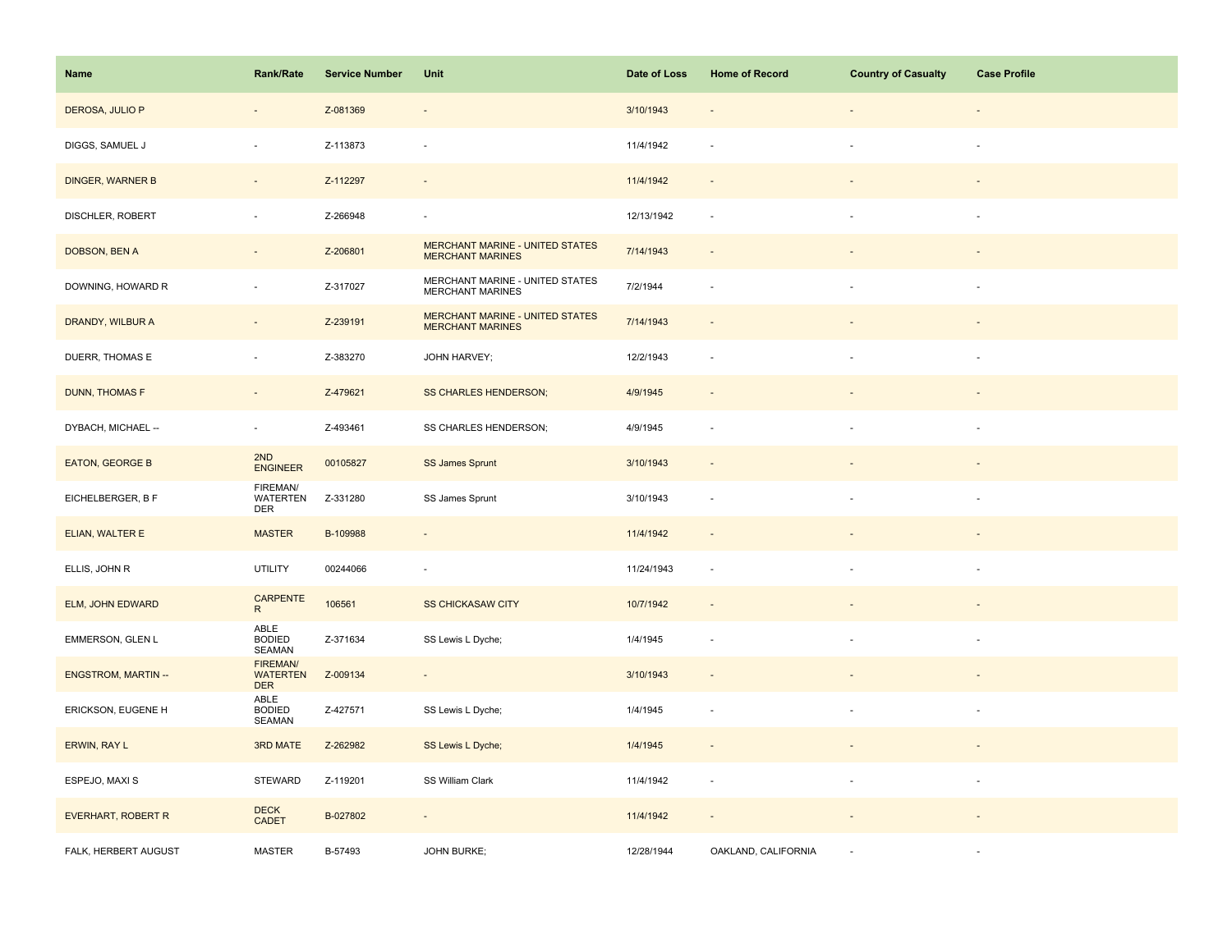| Name                      | <b>Rank/Rate</b>                          | <b>Service Number</b> | Unit                                                              | Date of Loss | <b>Home of Record</b>    | <b>Country of Casualty</b> | <b>Case Profile</b>      |
|---------------------------|-------------------------------------------|-----------------------|-------------------------------------------------------------------|--------------|--------------------------|----------------------------|--------------------------|
| DEROSA, JULIO P           | $\qquad \qquad \blacksquare$              | Z-081369              | $\overline{\phantom{a}}$                                          | 3/10/1943    |                          |                            |                          |
| DIGGS, SAMUEL J           | ÷,                                        | Z-113873              | ÷,                                                                | 11/4/1942    |                          |                            |                          |
| <b>DINGER, WARNER B</b>   | $\sim$                                    | Z-112297              | $\overline{\phantom{a}}$                                          | 11/4/1942    | $\sim$                   | $\overline{\phantom{a}}$   | $\overline{\phantom{a}}$ |
| DISCHLER, ROBERT          | $\overline{\phantom{a}}$                  | Z-266948              | $\overline{\phantom{a}}$                                          | 12/13/1942   | $\sim$                   | à.                         | ×                        |
| DOBSON, BEN A             | $\qquad \qquad \blacksquare$              | Z-206801              | MERCHANT MARINE - UNITED STATES<br><b>MERCHANT MARINES</b>        | 7/14/1943    |                          |                            |                          |
| DOWNING, HOWARD R         | $\sim$                                    | Z-317027              | MERCHANT MARINE - UNITED STATES<br>MERCHANT MARINES               | 7/2/1944     |                          |                            |                          |
| DRANDY, WILBUR A          | $\overline{\phantom{a}}$                  | Z-239191              | <b>MERCHANT MARINE - UNITED STATES</b><br><b>MERCHANT MARINES</b> | 7/14/1943    |                          |                            |                          |
| DUERR, THOMAS E           | ÷,                                        | Z-383270              | JOHN HARVEY;                                                      | 12/2/1943    |                          |                            |                          |
| <b>DUNN, THOMAS F</b>     | $\overline{\phantom{a}}$                  | Z-479621              | <b>SS CHARLES HENDERSON;</b>                                      | 4/9/1945     | $\overline{\phantom{a}}$ |                            |                          |
| DYBACH, MICHAEL --        | $\sim$                                    | Z-493461              | SS CHARLES HENDERSON;                                             | 4/9/1945     | $\sim$                   | ÷,                         | $\overline{\phantom{a}}$ |
| EATON, GEORGE B           | 2ND<br><b>ENGINEER</b>                    | 00105827              | <b>SS James Sprunt</b>                                            | 3/10/1943    | $\sim$                   |                            |                          |
| EICHELBERGER, B F         | FIREMAN/<br>WATERTEN<br><b>DER</b>        | Z-331280              | SS James Sprunt                                                   | 3/10/1943    | $\sim$                   |                            |                          |
| ELIAN, WALTER E           | <b>MASTER</b>                             | B-109988              | $\overline{\phantom{a}}$                                          | 11/4/1942    | $\sim$                   |                            |                          |
| ELLIS, JOHN R             | <b>UTILITY</b>                            | 00244066              | $\overline{\phantom{a}}$                                          | 11/24/1943   | $\sim$                   | $\blacksquare$             | ×                        |
| ELM, JOHN EDWARD          | CARPENTE<br>R                             | 106561                | <b>SS CHICKASAW CITY</b>                                          | 10/7/1942    |                          |                            |                          |
| EMMERSON, GLEN L          | ABLE<br><b>BODIED</b><br>SEAMAN           | Z-371634              | SS Lewis L Dyche;                                                 | 1/4/1945     |                          | $\overline{\phantom{a}}$   | $\sim$                   |
| <b>ENGSTROM, MARTIN--</b> | FIREMAN/<br><b>WATERTEN</b><br><b>DER</b> | Z-009134              | $\omega$                                                          | 3/10/1943    | $\sim$                   |                            |                          |
| ERICKSON, EUGENE H        | ABLE<br><b>BODIED</b><br>SEAMAN           | Z-427571              | SS Lewis L Dyche;                                                 | 1/4/1945     | $\overline{\phantom{a}}$ |                            | $\overline{\phantom{a}}$ |
| ERWIN, RAY L              | 3RD MATE                                  | Z-262982              | SS Lewis L Dyche;                                                 | 1/4/1945     |                          |                            |                          |
| ESPEJO, MAXI S            | <b>STEWARD</b>                            | Z-119201              | SS William Clark                                                  | 11/4/1942    | $\sim$                   | ÷,                         | $\sim$                   |
| EVERHART, ROBERT R        | <b>DECK</b><br><b>CADET</b>               | B-027802              | $\omega$                                                          | 11/4/1942    | $\sim$                   |                            |                          |
| FALK, HERBERT AUGUST      | <b>MASTER</b>                             | B-57493               | JOHN BURKE;                                                       | 12/28/1944   | OAKLAND, CALIFORNIA      |                            |                          |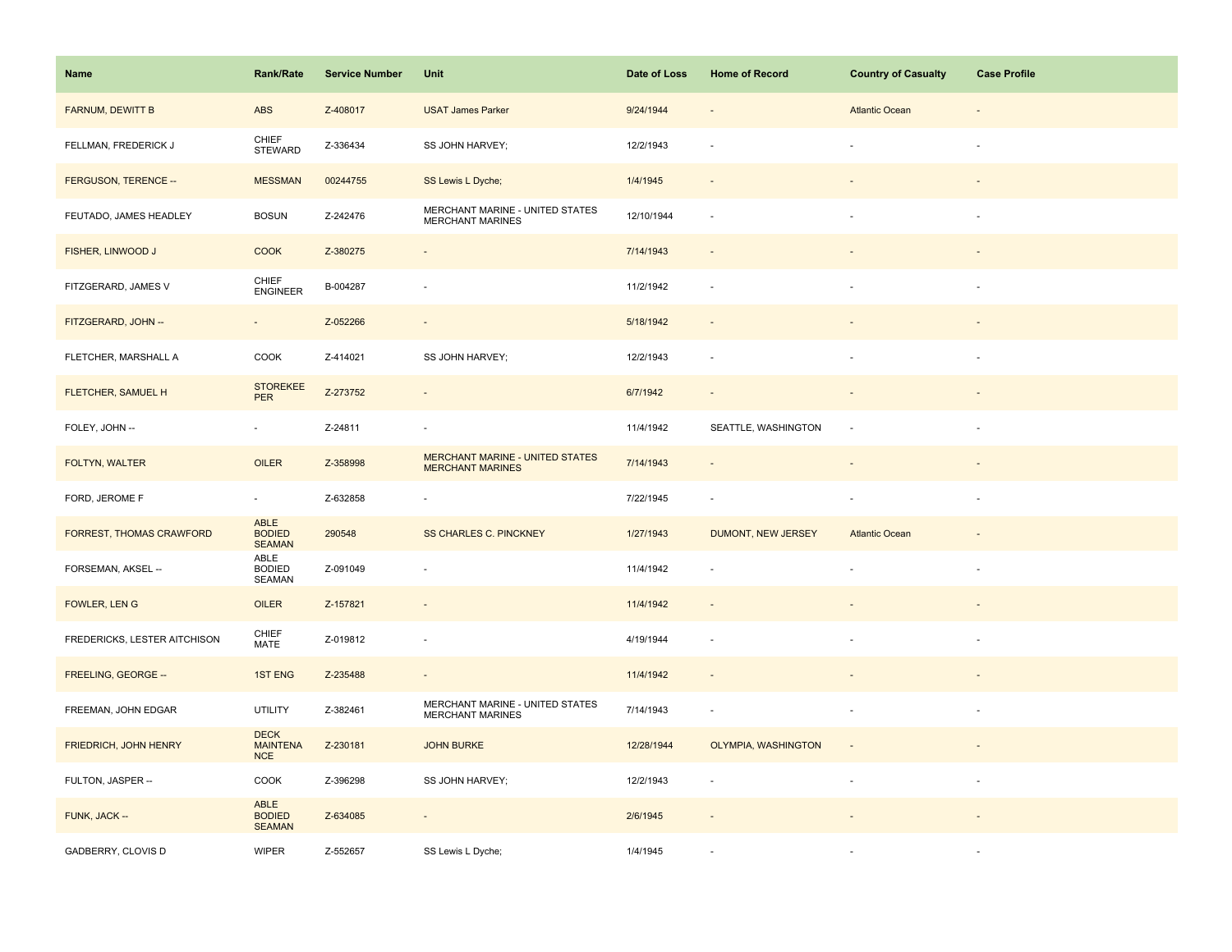| Name                         | <b>Rank/Rate</b>                       | <b>Service Number</b> | Unit                                                       | Date of Loss | <b>Home of Record</b>    | <b>Country of Casualty</b> | <b>Case Profile</b>      |
|------------------------------|----------------------------------------|-----------------------|------------------------------------------------------------|--------------|--------------------------|----------------------------|--------------------------|
| FARNUM, DEWITT B             | <b>ABS</b>                             | Z-408017              | <b>USAT James Parker</b>                                   | 9/24/1944    |                          | <b>Atlantic Ocean</b>      |                          |
| FELLMAN, FREDERICK J         | CHIEF<br><b>STEWARD</b>                | Z-336434              | SS JOHN HARVEY;                                            | 12/2/1943    |                          |                            |                          |
| FERGUSON, TERENCE --         | <b>MESSMAN</b>                         | 00244755              | SS Lewis L Dyche;                                          | 1/4/1945     | $\sim$                   |                            |                          |
| FEUTADO, JAMES HEADLEY       | <b>BOSUN</b>                           | Z-242476              | MERCHANT MARINE - UNITED STATES<br>MERCHANT MARINES        | 12/10/1944   | $\sim$                   |                            | $\sim$                   |
| FISHER, LINWOOD J            | <b>COOK</b>                            | Z-380275              | $\centerdot$                                               | 7/14/1943    |                          |                            |                          |
| FITZGERARD, JAMES V          | CHIEF<br><b>ENGINEER</b>               | B-004287              | ÷,                                                         | 11/2/1942    | $\overline{\phantom{a}}$ |                            |                          |
| FITZGERARD, JOHN --          | $\bar{a}$                              | Z-052266              | $\overline{\phantom{a}}$                                   | 5/18/1942    |                          |                            |                          |
| FLETCHER, MARSHALL A         | COOK                                   | Z-414021              | SS JOHN HARVEY;                                            | 12/2/1943    | $\overline{\phantom{a}}$ |                            | $\sim$                   |
| FLETCHER, SAMUEL H           | <b>STOREKEE</b><br><b>PER</b>          | Z-273752              | $\overline{\phantom{a}}$                                   | 6/7/1942     | $\overline{\phantom{a}}$ | $\overline{\phantom{a}}$   |                          |
| FOLEY, JOHN --               | $\omega$                               | Z-24811               | $\overline{\phantom{a}}$                                   | 11/4/1942    | SEATTLE, WASHINGTON      |                            | $\sim$                   |
| FOLTYN, WALTER               | OILER                                  | Z-358998              | MERCHANT MARINE - UNITED STATES<br><b>MERCHANT MARINES</b> | 7/14/1943    |                          |                            |                          |
| FORD, JEROME F               | $\omega$                               | Z-632858              | ÷,                                                         | 7/22/1945    |                          |                            |                          |
| FORREST, THOMAS CRAWFORD     | ABLE<br><b>BODIED</b><br><b>SEAMAN</b> | 290548                | <b>SS CHARLES C. PINCKNEY</b>                              | 1/27/1943    | DUMONT, NEW JERSEY       | <b>Atlantic Ocean</b>      |                          |
| FORSEMAN, AKSEL --           | ABLE<br><b>BODIED</b><br>SEAMAN        | Z-091049              | ä,                                                         | 11/4/1942    |                          |                            |                          |
| FOWLER, LENG                 | OILER                                  | Z-157821              | $\centerdot$                                               | 11/4/1942    |                          |                            |                          |
| FREDERICKS, LESTER AITCHISON | CHIEF<br><b>MATE</b>                   | Z-019812              | ÷,                                                         | 4/19/1944    |                          |                            |                          |
| FREELING, GEORGE --          | <b>1ST ENG</b>                         | Z-235488              | $\blacksquare$                                             | 11/4/1942    | $\sim$                   |                            |                          |
| FREEMAN, JOHN EDGAR          | UTILITY                                | Z-382461              | MERCHANT MARINE - UNITED STATES<br><b>MERCHANT MARINES</b> | 7/14/1943    | $\sim$                   |                            |                          |
| FRIEDRICH, JOHN HENRY        | <b>DECK</b><br><b>MAINTENA</b><br>NCE  | Z-230181              | <b>JOHN BURKE</b>                                          | 12/28/1944   | OLYMPIA, WASHINGTON      | $\overline{\phantom{a}}$   |                          |
| FULTON, JASPER --            | COOK                                   | Z-396298              | SS JOHN HARVEY;                                            | 12/2/1943    | ÷.                       |                            | $\overline{\phantom{a}}$ |
| FUNK, JACK --                | ABLE<br><b>BODIED</b><br><b>SEAMAN</b> | Z-634085              | $\overline{\phantom{a}}$                                   | 2/6/1945     |                          |                            |                          |
| GADBERRY, CLOVIS D           | <b>WIPER</b>                           | Z-552657              | SS Lewis L Dyche;                                          | 1/4/1945     |                          |                            |                          |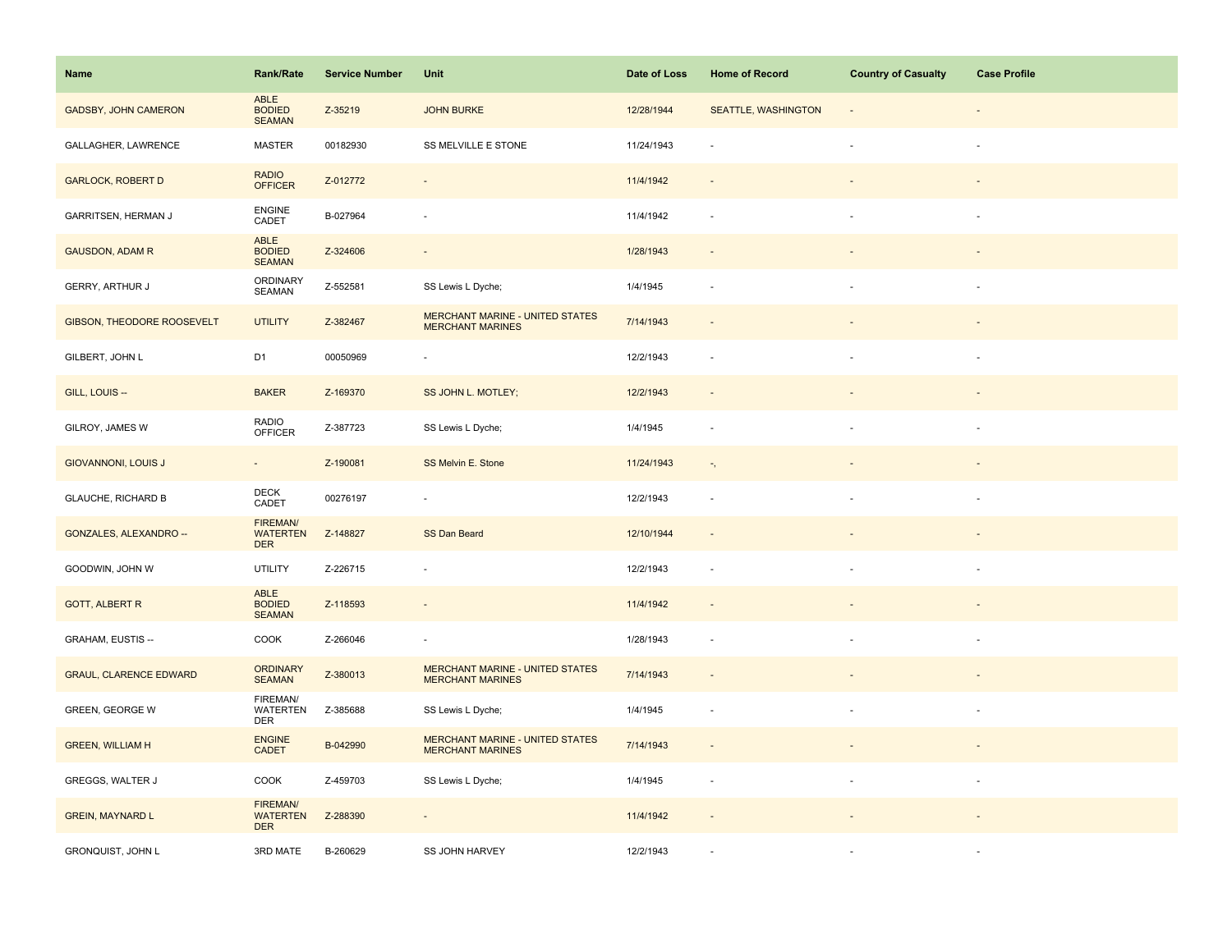| Name                          | <b>Rank/Rate</b>                                 | <b>Service Number</b> | Unit                                                              | Date of Loss | <b>Home of Record</b>      | <b>Country of Casualty</b> | <b>Case Profile</b>      |
|-------------------------------|--------------------------------------------------|-----------------------|-------------------------------------------------------------------|--------------|----------------------------|----------------------------|--------------------------|
| <b>GADSBY, JOHN CAMERON</b>   | ABLE<br>BODIED<br>SEAMAN                         | Z-35219               | <b>JOHN BURKE</b>                                                 | 12/28/1944   | <b>SEATTLE, WASHINGTON</b> |                            |                          |
| GALLAGHER, LAWRENCE           | <b>MASTER</b>                                    | 00182930              | SS MELVILLE E STONE                                               | 11/24/1943   |                            |                            |                          |
| <b>GARLOCK, ROBERT D</b>      | <b>RADIO</b><br><b>OFFICER</b>                   | Z-012772              | $\blacksquare$                                                    | 11/4/1942    | $\sim$                     |                            |                          |
| GARRITSEN, HERMAN J           | ENGINE<br>CADET                                  | B-027964              | ä,                                                                | 11/4/1942    | ÷.                         |                            | $\sim$                   |
| <b>GAUSDON, ADAM R</b>        | ABLE<br><b>BODIED</b><br><b>SEAMAN</b>           | Z-324606              | $\centerdot$                                                      | 1/28/1943    |                            |                            |                          |
| GERRY, ARTHUR J               | ORDINARY<br>SEAMAN                               | Z-552581              | SS Lewis L Dyche;                                                 | 1/4/1945     |                            |                            |                          |
| GIBSON, THEODORE ROOSEVELT    | <b>UTILITY</b>                                   | Z-382467              | <b>MERCHANT MARINE - UNITED STATES</b><br><b>MERCHANT MARINES</b> | 7/14/1943    |                            |                            |                          |
| GILBERT, JOHN L               | D <sub>1</sub>                                   | 00050969              |                                                                   | 12/2/1943    |                            |                            |                          |
| GILL, LOUIS --                | <b>BAKER</b>                                     | Z-169370              | SS JOHN L. MOTLEY;                                                | 12/2/1943    | $\sim$                     |                            |                          |
| GILROY, JAMES W               | <b>RADIO</b><br><b>OFFICER</b>                   | Z-387723              | SS Lewis L Dyche;                                                 | 1/4/1945     | $\sim$                     |                            | $\sim$                   |
| <b>GIOVANNONI, LOUIS J</b>    | $\blacksquare$                                   | Z-190081              | SS Melvin E. Stone                                                | 11/24/1943   | $\overline{\phantom{a}}$ , |                            |                          |
| <b>GLAUCHE, RICHARD B</b>     | <b>DECK</b><br>CADET                             | 00276197              | ÷,                                                                | 12/2/1943    | ÷.                         |                            |                          |
| GONZALES, ALEXANDRO --        | FIREMAN/<br><b>WATERTEN</b><br><b>DER</b>        | Z-148827              | SS Dan Beard                                                      | 12/10/1944   | $\sim$                     |                            |                          |
| GOODWIN, JOHN W               | <b>UTILITY</b>                                   | Z-226715              | ÷,                                                                | 12/2/1943    | $\sim$                     |                            | $\sim$                   |
| <b>GOTT, ALBERT R</b>         | ABLE<br><b>BODIED</b><br><b>SEAMAN</b>           | Z-118593              | $\overline{\phantom{a}}$                                          | 11/4/1942    |                            |                            |                          |
| GRAHAM, EUSTIS --             | COOK                                             | Z-266046              | $\overline{\phantom{a}}$                                          | 1/28/1943    |                            |                            |                          |
| <b>GRAUL, CLARENCE EDWARD</b> | <b>ORDINARY</b><br><b>SEAMAN</b>                 | Z-380013              | <b>MERCHANT MARINE - UNITED STATES</b><br><b>MERCHANT MARINES</b> | 7/14/1943    | $\sim$                     |                            |                          |
| <b>GREEN, GEORGE W</b>        | FIREMAN/<br><b>WATERTEN</b><br>DER               | Z-385688              | SS Lewis L Dyche;                                                 | 1/4/1945     |                            |                            |                          |
| <b>GREEN, WILLIAM H</b>       | <b>ENGINE</b><br><b>CADET</b>                    | B-042990              | <b>MERCHANT MARINE - UNITED STATES</b><br><b>MERCHANT MARINES</b> | 7/14/1943    |                            |                            |                          |
| GREGGS, WALTER J              | COOK                                             | Z-459703              | SS Lewis L Dyche;                                                 | 1/4/1945     | $\sim$                     |                            | $\overline{\phantom{a}}$ |
| <b>GREIN, MAYNARD L</b>       | <b>FIREMAN/</b><br><b>WATERTEN</b><br><b>DER</b> | Z-288390              | $\overline{\phantom{a}}$                                          | 11/4/1942    |                            |                            |                          |
| GRONQUIST, JOHN L             | 3RD MATE                                         | B-260629              | <b>SS JOHN HARVEY</b>                                             | 12/2/1943    |                            |                            |                          |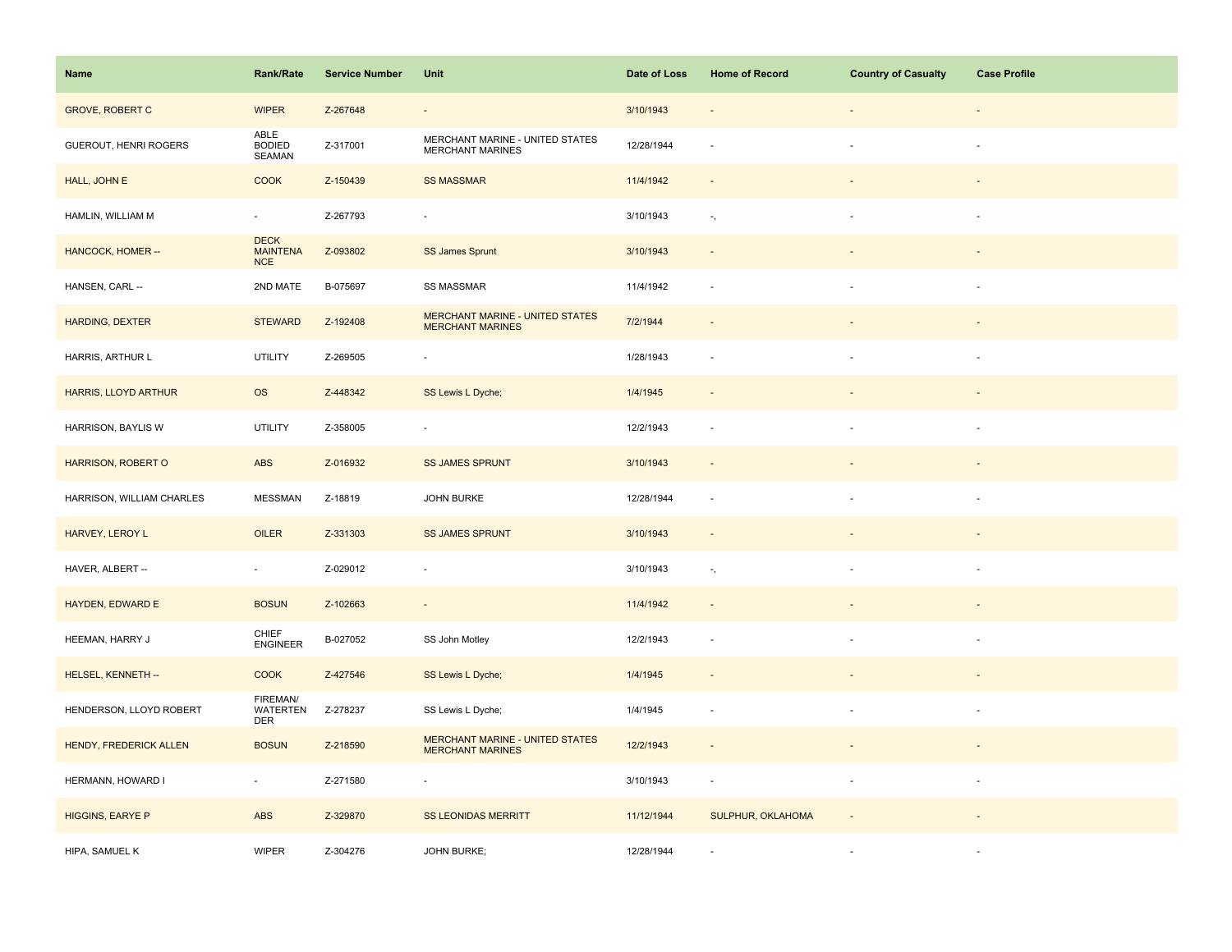| Name                      | <b>Rank/Rate</b>                             | <b>Service Number</b> | Unit                                                              | Date of Loss | <b>Home of Record</b>      | <b>Country of Casualty</b> | <b>Case Profile</b> |
|---------------------------|----------------------------------------------|-----------------------|-------------------------------------------------------------------|--------------|----------------------------|----------------------------|---------------------|
| <b>GROVE, ROBERT C</b>    | <b>WIPER</b>                                 | Z-267648              | $\overline{\phantom{a}}$                                          | 3/10/1943    |                            |                            |                     |
| GUEROUT, HENRI ROGERS     | ABLE<br>BODIED<br>SEAMAN                     | Z-317001              | MERCHANT MARINE - UNITED STATES<br><b>MERCHANT MARINES</b>        | 12/28/1944   |                            |                            |                     |
| HALL, JOHN E              | <b>COOK</b>                                  | Z-150439              | <b>SS MASSMAR</b>                                                 | 11/4/1942    | $\sim$                     |                            |                     |
| HAMLIN, WILLIAM M         | $\omega$                                     | Z-267793              | $\overline{\phantom{a}}$                                          | 3/10/1943    | $\overline{\phantom{a}}$ , | ÷.                         | $\sim$              |
| HANCOCK, HOMER --         | <b>DECK</b><br><b>MAINTENA</b><br><b>NCE</b> | Z-093802              | SS James Sprunt                                                   | 3/10/1943    |                            |                            |                     |
| HANSEN, CARL --           | 2ND MATE                                     | B-075697              | SS MASSMAR                                                        | 11/4/1942    | $\sim$                     |                            |                     |
| <b>HARDING, DEXTER</b>    | <b>STEWARD</b>                               | Z-192408              | <b>MERCHANT MARINE - UNITED STATES</b><br><b>MERCHANT MARINES</b> | 7/2/1944     |                            |                            |                     |
| HARRIS, ARTHUR L          | <b>UTILITY</b>                               | Z-269505              |                                                                   | 1/28/1943    |                            |                            |                     |
| HARRIS, LLOYD ARTHUR      | <b>OS</b>                                    | Z-448342              | SS Lewis L Dyche;                                                 | 1/4/1945     |                            |                            |                     |
| HARRISON, BAYLIS W        | <b>UTILITY</b>                               | Z-358005              | $\overline{\phantom{a}}$                                          | 12/2/1943    | $\sim$                     | $\blacksquare$             | $\sim$              |
| HARRISON, ROBERT O        | ABS                                          | Z-016932              | <b>SS JAMES SPRUNT</b>                                            | 3/10/1943    | $\sim$                     |                            |                     |
| HARRISON, WILLIAM CHARLES | <b>MESSMAN</b>                               | Z-18819               | JOHN BURKE                                                        | 12/28/1944   | $\sim$                     |                            |                     |
| HARVEY, LEROY L           | OILER                                        | Z-331303              | <b>SS JAMES SPRUNT</b>                                            | 3/10/1943    | $\sim$                     |                            |                     |
| HAVER, ALBERT --          | $\omega$                                     | Z-029012              | ÷,                                                                | 3/10/1943    | $\overline{\phantom{a}}$ , |                            | $\sim$              |
| HAYDEN, EDWARD E          | <b>BOSUN</b>                                 | Z-102663              | $\overline{\phantom{a}}$                                          | 11/4/1942    |                            |                            |                     |
| HEEMAN, HARRY J           | CHIEF<br><b>ENGINEER</b>                     | B-027052              | SS John Motley                                                    | 12/2/1943    |                            | $\sim$                     |                     |
| HELSEL, KENNETH --        | <b>COOK</b>                                  | Z-427546              | SS Lewis L Dyche;                                                 | 1/4/1945     | $\sim$                     |                            |                     |
| HENDERSON, LLOYD ROBERT   | FIREMAN/<br><b>WATERTEN</b><br><b>DER</b>    | Z-278237              | SS Lewis L Dyche;                                                 | 1/4/1945     | $\sim$                     |                            |                     |
| HENDY, FREDERICK ALLEN    | <b>BOSUN</b>                                 | Z-218590              | <b>MERCHANT MARINE - UNITED STATES</b><br><b>MERCHANT MARINES</b> | 12/2/1943    |                            |                            |                     |
| HERMANN, HOWARD I         | $\omega$                                     | Z-271580              | ÷,                                                                | 3/10/1943    | $\sim$                     |                            | $\sim$              |
| <b>HIGGINS, EARYE P</b>   | ABS                                          | Z-329870              | <b>SS LEONIDAS MERRITT</b>                                        | 11/12/1944   | SULPHUR, OKLAHOMA          |                            |                     |
| HIPA, SAMUEL K            | <b>WIPER</b>                                 | Z-304276              | <b>JOHN BURKE;</b>                                                | 12/28/1944   |                            |                            |                     |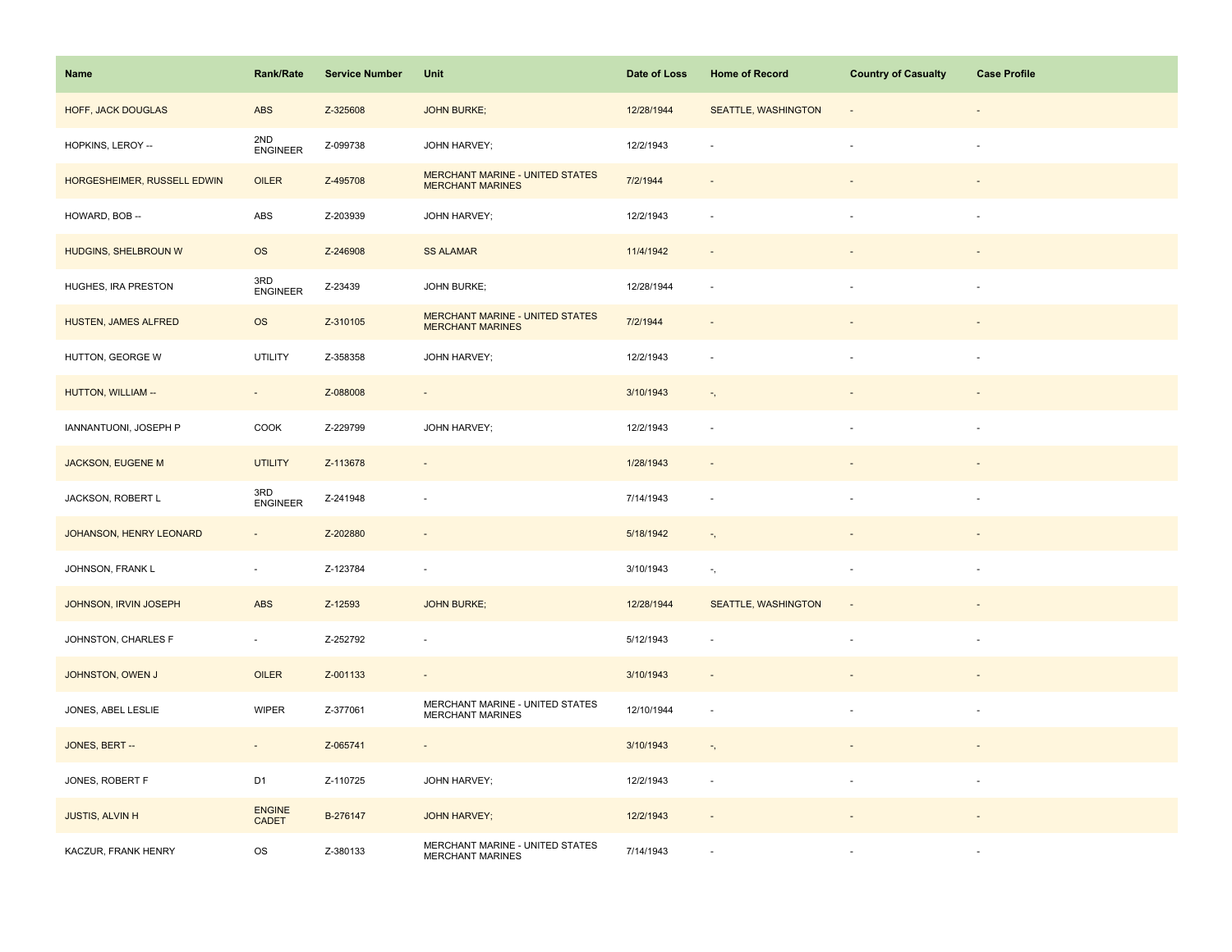| Name                        | <b>Rank/Rate</b>              | <b>Service Number</b> | Unit                                                              | Date of Loss | <b>Home of Record</b>      | <b>Country of Casualty</b> | <b>Case Profile</b>      |
|-----------------------------|-------------------------------|-----------------------|-------------------------------------------------------------------|--------------|----------------------------|----------------------------|--------------------------|
| HOFF, JACK DOUGLAS          | ABS                           | Z-325608              | <b>JOHN BURKE;</b>                                                | 12/28/1944   | <b>SEATTLE, WASHINGTON</b> |                            |                          |
| HOPKINS, LEROY --           | 2ND<br><b>ENGINEER</b>        | Z-099738              | JOHN HARVEY;                                                      | 12/2/1943    |                            |                            |                          |
| HORGESHEIMER, RUSSELL EDWIN | OILER                         | Z-495708              | <b>MERCHANT MARINE - UNITED STATES</b><br><b>MERCHANT MARINES</b> | 7/2/1944     | $\sim$                     |                            | $\overline{\phantom{a}}$ |
| HOWARD, BOB --              | ${\sf ABS}$                   | Z-203939              | JOHN HARVEY;                                                      | 12/2/1943    | $\sim$                     |                            | $\sim$                   |
| HUDGINS, SHELBROUN W        | <b>OS</b>                     | Z-246908              | <b>SS ALAMAR</b>                                                  | 11/4/1942    |                            |                            |                          |
| HUGHES, IRA PRESTON         | 3RD<br><b>ENGINEER</b>        | Z-23439               | JOHN BURKE;                                                       | 12/28/1944   | ÷.                         |                            |                          |
| HUSTEN, JAMES ALFRED        | <b>OS</b>                     | Z-310105              | <b>MERCHANT MARINE - UNITED STATES</b><br><b>MERCHANT MARINES</b> | 7/2/1944     |                            |                            |                          |
| HUTTON, GEORGE W            | <b>UTILITY</b>                | Z-358358              | JOHN HARVEY;                                                      | 12/2/1943    | $\overline{\phantom{a}}$   |                            |                          |
| HUTTON, WILLIAM --          | $\overline{\phantom{a}}$      | Z-088008              | $\overline{\phantom{a}}$                                          | 3/10/1943    | $\overline{\phantom{a}}$ , |                            |                          |
| IANNANTUONI, JOSEPH P       | COOK                          | Z-229799              | JOHN HARVEY;                                                      | 12/2/1943    | $\sim$                     | $\sim$                     | $\overline{\phantom{a}}$ |
| <b>JACKSON, EUGENE M</b>    | <b>UTILITY</b>                | Z-113678              | $\blacksquare$                                                    | 1/28/1943    | $\sim$                     |                            |                          |
| JACKSON, ROBERT L           | 3RD<br><b>ENGINEER</b>        | Z-241948              | $\overline{\phantom{a}}$                                          | 7/14/1943    | $\sim$                     |                            | $\sim$                   |
| JOHANSON, HENRY LEONARD     | $\blacksquare$                | Z-202880              | $\overline{\phantom{a}}$                                          | 5/18/1942    | $\overline{\phantom{a}}$ , | $\overline{\phantom{a}}$   |                          |
| JOHNSON, FRANK L            | $\blacksquare$                | Z-123784              | $\overline{\phantom{a}}$                                          | 3/10/1943    | $\gamma_{\rm s}$           |                            | $\overline{\phantom{a}}$ |
| JOHNSON, IRVIN JOSEPH       | <b>ABS</b>                    | Z-12593               | <b>JOHN BURKE;</b>                                                | 12/28/1944   | SEATTLE, WASHINGTON        |                            |                          |
| JOHNSTON, CHARLES F         | $\blacksquare$                | Z-252792              | ÷,                                                                | 5/12/1943    |                            |                            | $\overline{\phantom{a}}$ |
| JOHNSTON, OWEN J            | OILER                         | Z-001133              | $\overline{\phantom{a}}$                                          | 3/10/1943    | $\sim$                     |                            |                          |
| JONES, ABEL LESLIE          | <b>WIPER</b>                  | Z-377061              | MERCHANT MARINE - UNITED STATES<br><b>MERCHANT MARINES</b>        | 12/10/1944   | $\sim$                     |                            | $\overline{\phantom{a}}$ |
| JONES, BERT --              | $\overline{\phantom{a}}$      | Z-065741              | $\overline{\phantom{a}}$                                          | 3/10/1943    | $\overline{\phantom{a}}$ , |                            |                          |
| JONES, ROBERT F             | D <sub>1</sub>                | Z-110725              | JOHN HARVEY;                                                      | 12/2/1943    | $\sim$                     |                            |                          |
| <b>JUSTIS, ALVIN H</b>      | <b>ENGINE</b><br><b>CADET</b> | B-276147              | <b>JOHN HARVEY;</b>                                               | 12/2/1943    |                            |                            |                          |
| KACZUR, FRANK HENRY         | <b>OS</b>                     | Z-380133              | MERCHANT MARINE - UNITED STATES<br><b>MERCHANT MARINES</b>        | 7/14/1943    |                            |                            |                          |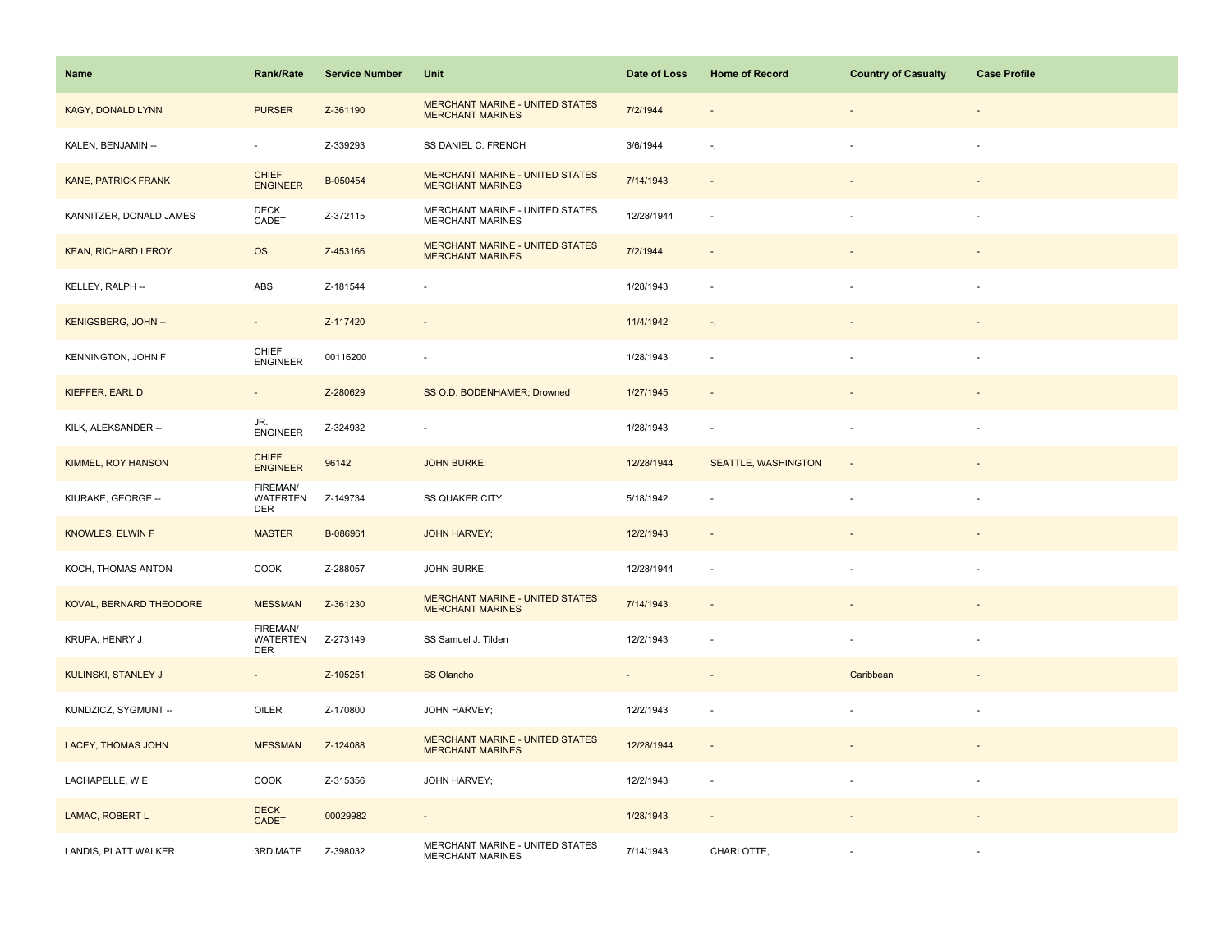| Name                       | <b>Rank/Rate</b>                          | <b>Service Number</b> | Unit                                                              | Date of Loss   | <b>Home of Record</b>      | <b>Country of Casualty</b> | <b>Case Profile</b>      |
|----------------------------|-------------------------------------------|-----------------------|-------------------------------------------------------------------|----------------|----------------------------|----------------------------|--------------------------|
| <b>KAGY, DONALD LYNN</b>   | <b>PURSER</b>                             | Z-361190              | <b>MERCHANT MARINE - UNITED STATES</b><br><b>MERCHANT MARINES</b> | 7/2/1944       |                            |                            |                          |
| KALEN, BENJAMIN --         |                                           | Z-339293              | SS DANIEL C. FRENCH                                               | 3/6/1944       | $\overline{\phantom{a}}$ , |                            |                          |
| <b>KANE, PATRICK FRANK</b> | <b>CHIEF</b><br><b>ENGINEER</b>           | B-050454              | <b>MERCHANT MARINE - UNITED STATES</b><br><b>MERCHANT MARINES</b> | 7/14/1943      | $\sim$                     |                            |                          |
| KANNITZER, DONALD JAMES    | <b>DECK</b><br>CADET                      | Z-372115              | MERCHANT MARINE - UNITED STATES<br><b>MERCHANT MARINES</b>        | 12/28/1944     | $\sim$                     |                            |                          |
| <b>KEAN, RICHARD LEROY</b> | <b>OS</b>                                 | Z-453166              | <b>MERCHANT MARINE - UNITED STATES</b><br><b>MERCHANT MARINES</b> | 7/2/1944       |                            |                            |                          |
| KELLEY, RALPH --           | ABS                                       | Z-181544              |                                                                   | 1/28/1943      |                            |                            |                          |
| KENIGSBERG, JOHN --        | $\sim$                                    | Z-117420              | $\overline{\phantom{a}}$                                          | 11/4/1942      | $\overline{a}$             |                            |                          |
| KENNINGTON, JOHN F         | CHIEF<br>ENGINEER                         | 00116200              | $\overline{\phantom{a}}$                                          | 1/28/1943      |                            |                            |                          |
| <b>KIEFFER, EARL D</b>     | ÷,                                        | Z-280629              | SS O.D. BODENHAMER; Drowned                                       | 1/27/1945      |                            |                            |                          |
| KILK, ALEKSANDER --        | JR.<br><b>ENGINEER</b>                    | Z-324932              | $\overline{\phantom{a}}$                                          | 1/28/1943      | $\sim$                     |                            | $\overline{\phantom{a}}$ |
| <b>KIMMEL, ROY HANSON</b>  | <b>CHIEF</b><br><b>ENGINEER</b>           | 96142                 | <b>JOHN BURKE;</b>                                                | 12/28/1944     | <b>SEATTLE, WASHINGTON</b> |                            |                          |
| KIURAKE, GEORGE --         | FIREMAN/<br><b>WATERTEN</b><br>DER        | Z-149734              | <b>SS QUAKER CITY</b>                                             | 5/18/1942      |                            |                            | $\sim$                   |
| <b>KNOWLES, ELWIN F</b>    | <b>MASTER</b>                             | B-086961              | <b>JOHN HARVEY;</b>                                               | 12/2/1943      |                            |                            |                          |
| KOCH, THOMAS ANTON         | COOK                                      | Z-288057              | <b>JOHN BURKE;</b>                                                | 12/28/1944     | $\sim$                     |                            |                          |
| KOVAL, BERNARD THEODORE    | <b>MESSMAN</b>                            | Z-361230              | <b>MERCHANT MARINE - UNITED STATES</b><br><b>MERCHANT MARINES</b> | 7/14/1943      |                            |                            |                          |
| KRUPA, HENRY J             | FIREMAN/<br><b>WATERTEN</b><br><b>DER</b> | Z-273149              | SS Samuel J. Tilden                                               | 12/2/1943      |                            |                            |                          |
| KULINSKI, STANLEY J        | $\sim$                                    | Z-105251              | SS Olancho                                                        | $\blacksquare$ | $\sim$                     | Caribbean                  |                          |
| KUNDZICZ, SYGMUNT --       | OILER                                     | Z-170800              | JOHN HARVEY;                                                      | 12/2/1943      | $\overline{\phantom{a}}$   |                            |                          |
| <b>LACEY, THOMAS JOHN</b>  | <b>MESSMAN</b>                            | Z-124088              | <b>MERCHANT MARINE - UNITED STATES</b><br><b>MERCHANT MARINES</b> | 12/28/1944     |                            |                            |                          |
| LACHAPELLE, W E            | COOK                                      | Z-315356              | JOHN HARVEY;                                                      | 12/2/1943      | $\sim$                     |                            |                          |
| LAMAC, ROBERT L            | <b>DECK</b><br><b>CADET</b>               | 00029982              | $\overline{\phantom{a}}$                                          | 1/28/1943      |                            |                            |                          |
| LANDIS, PLATT WALKER       | 3RD MATE                                  | Z-398032              | MERCHANT MARINE - UNITED STATES<br><b>MERCHANT MARINES</b>        | 7/14/1943      | CHARLOTTE,                 |                            |                          |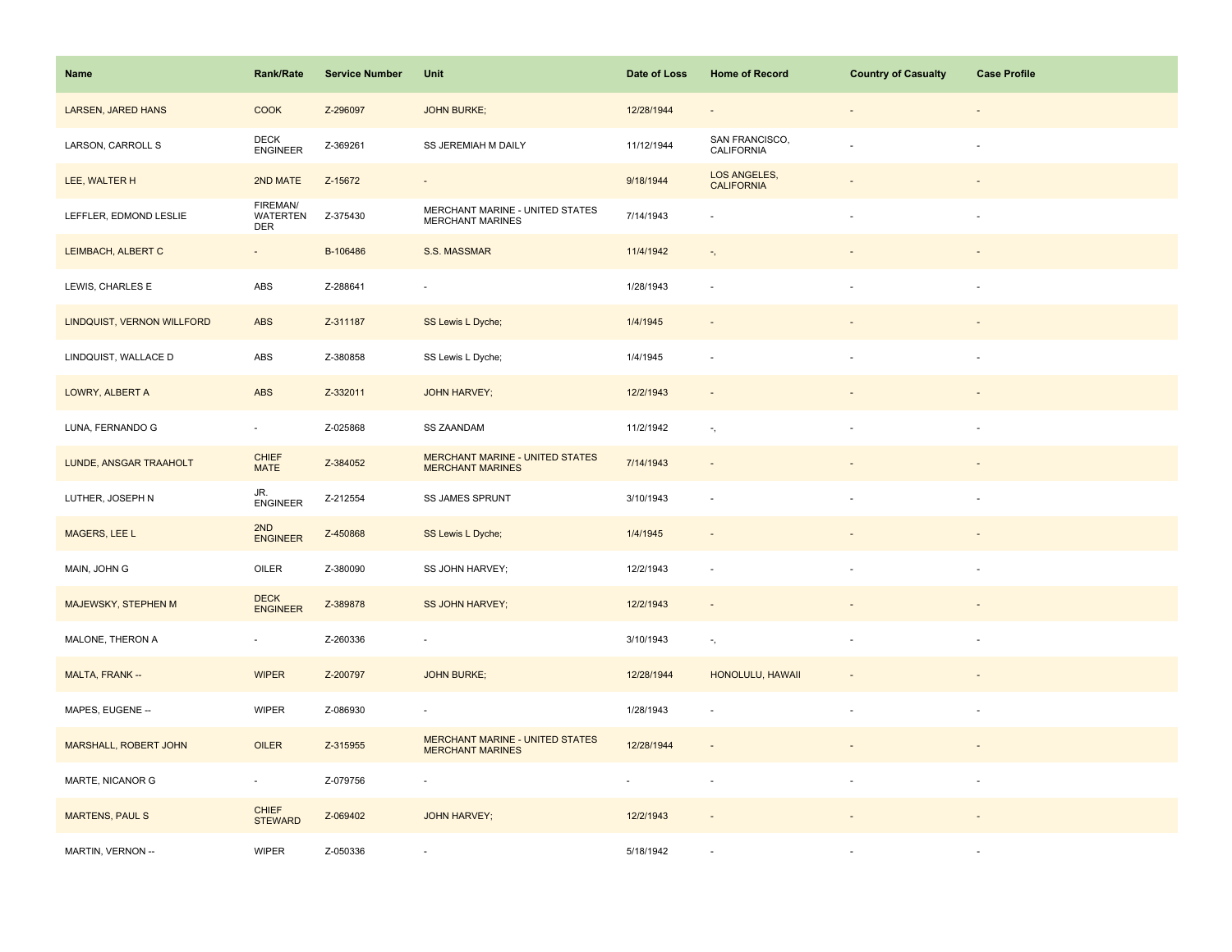| Name                       | <b>Rank/Rate</b>                          | <b>Service Number</b> | Unit                                                              | Date of Loss | <b>Home of Record</b>             | <b>Country of Casualty</b> | <b>Case Profile</b> |
|----------------------------|-------------------------------------------|-----------------------|-------------------------------------------------------------------|--------------|-----------------------------------|----------------------------|---------------------|
| LARSEN, JARED HANS         | <b>COOK</b>                               | Z-296097              | <b>JOHN BURKE;</b>                                                | 12/28/1944   |                                   | $\overline{\phantom{a}}$   |                     |
| LARSON, CARROLL S          | <b>DECK</b><br><b>ENGINEER</b>            | Z-369261              | SS JEREMIAH M DAILY                                               | 11/12/1944   | SAN FRANCISCO,<br>CALIFORNIA      |                            |                     |
| LEE, WALTER H              | 2ND MATE                                  | Z-15672               | $\equiv$                                                          | 9/18/1944    | LOS ANGELES,<br><b>CALIFORNIA</b> |                            |                     |
| LEFFLER, EDMOND LESLIE     | FIREMAN/<br><b>WATERTEN</b><br><b>DER</b> | Z-375430              | MERCHANT MARINE - UNITED STATES<br><b>MERCHANT MARINES</b>        | 7/14/1943    |                                   |                            | $\sim$              |
| LEIMBACH, ALBERT C         | $\blacksquare$                            | B-106486              | S.S. MASSMAR                                                      | 11/4/1942    | $\overline{a}$ ,                  |                            |                     |
| LEWIS, CHARLES E           | ABS                                       | Z-288641              | $\sim$                                                            | 1/28/1943    | $\sim$                            |                            |                     |
| LINDQUIST, VERNON WILLFORD | ABS                                       | Z-311187              | SS Lewis L Dyche;                                                 | 1/4/1945     |                                   |                            |                     |
| LINDQUIST, WALLACE D       | ABS                                       | Z-380858              | SS Lewis L Dyche;                                                 | 1/4/1945     |                                   |                            | $\sim$              |
| LOWRY, ALBERT A            | ABS                                       | Z-332011              | <b>JOHN HARVEY;</b>                                               | 12/2/1943    | $\sim$                            |                            |                     |
| LUNA, FERNANDO G           | $\sim$                                    | Z-025868              | <b>SS ZAANDAM</b>                                                 | 11/2/1942    | $\overline{\phantom{a}}$ ,        |                            | $\sim$              |
| LUNDE, ANSGAR TRAAHOLT     | <b>CHIEF</b><br><b>MATE</b>               | Z-384052              | <b>MERCHANT MARINE - UNITED STATES</b><br><b>MERCHANT MARINES</b> | 7/14/1943    |                                   |                            |                     |
| LUTHER, JOSEPH N           | JR.<br><b>ENGINEER</b>                    | Z-212554              | SS JAMES SPRUNT                                                   | 3/10/1943    |                                   |                            |                     |
| MAGERS, LEE L              | 2ND<br><b>ENGINEER</b>                    | Z-450868              | SS Lewis L Dyche;                                                 | 1/4/1945     |                                   |                            |                     |
| MAIN, JOHN G               | OILER                                     | Z-380090              | SS JOHN HARVEY;                                                   | 12/2/1943    | $\sim$                            |                            |                     |
| MAJEWSKY, STEPHEN M        | <b>DECK</b><br><b>ENGINEER</b>            | Z-389878              | <b>SS JOHN HARVEY;</b>                                            | 12/2/1943    |                                   |                            |                     |
| MALONE, THERON A           | $\omega$                                  | Z-260336              | $\sim$                                                            | 3/10/1943    | $\overline{\phantom{a}}$ ,        |                            | $\sim$              |
| MALTA, FRANK --            | <b>WIPER</b>                              | Z-200797              | <b>JOHN BURKE:</b>                                                | 12/28/1944   | HONOLULU, HAWAII                  |                            |                     |
| MAPES, EUGENE --           | <b>WIPER</b>                              | Z-086930              |                                                                   | 1/28/1943    |                                   |                            |                     |
| MARSHALL, ROBERT JOHN      | OILER                                     | Z-315955              | MERCHANT MARINE - UNITED STATES<br><b>MERCHANT MARINES</b>        | 12/28/1944   | $\sim$                            |                            |                     |
| MARTE, NICANOR G           | $\blacksquare$                            | Z-079756              | ÷,                                                                | $\sim$       | $\overline{\phantom{a}}$          | $\blacksquare$             | $\sim$              |
| <b>MARTENS, PAUL S</b>     | <b>CHIEF</b><br><b>STEWARD</b>            | Z-069402              | <b>JOHN HARVEY;</b>                                               | 12/2/1943    |                                   |                            |                     |
| MARTIN, VERNON --          | <b>WIPER</b>                              | Z-050336              |                                                                   | 5/18/1942    |                                   |                            |                     |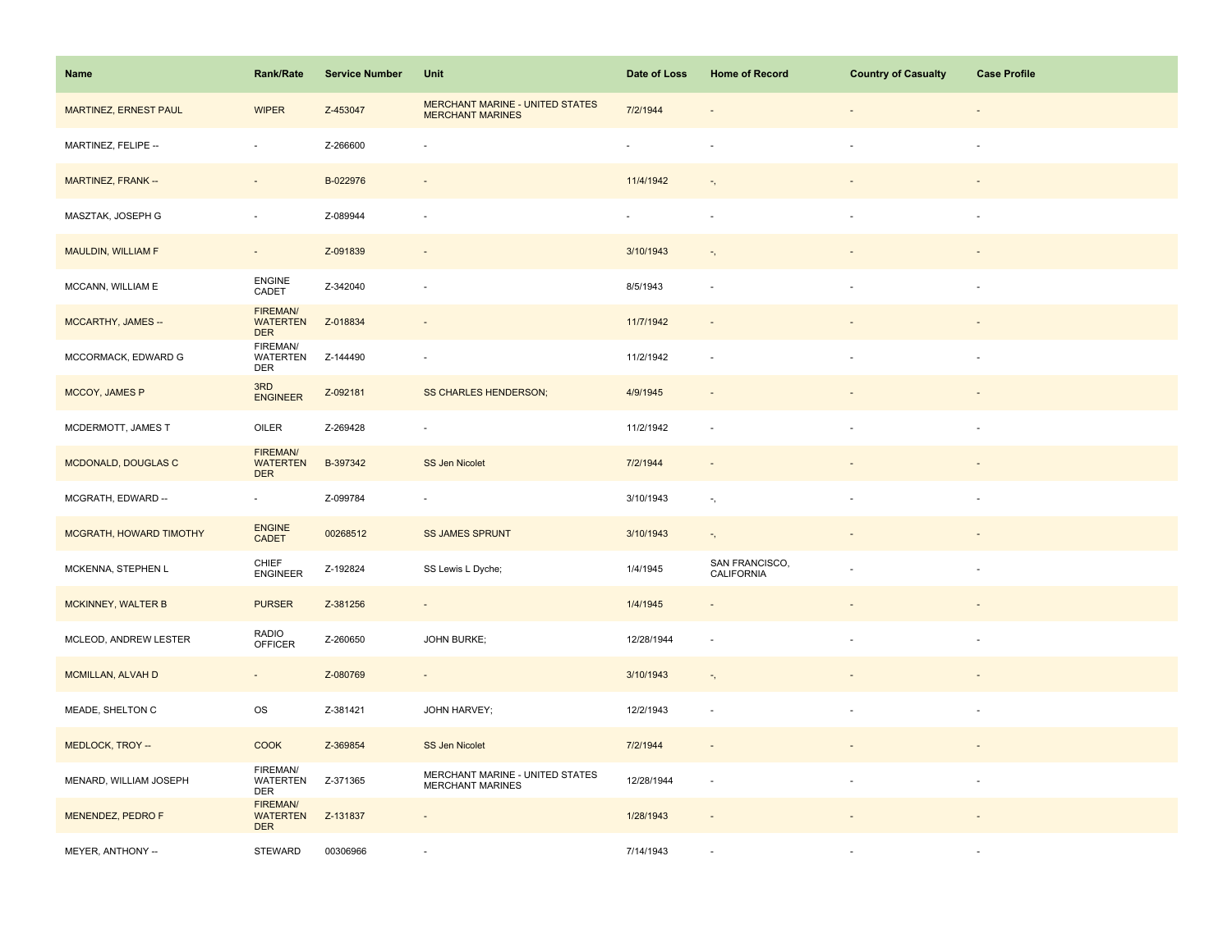| Name                    | <b>Rank/Rate</b>                                 | <b>Service Number</b> | Unit                                                              | Date of Loss             | <b>Home of Record</b>        | <b>Country of Casualty</b> | <b>Case Profile</b> |
|-------------------------|--------------------------------------------------|-----------------------|-------------------------------------------------------------------|--------------------------|------------------------------|----------------------------|---------------------|
| MARTINEZ, ERNEST PAUL   | <b>WIPER</b>                                     | Z-453047              | <b>MERCHANT MARINE - UNITED STATES</b><br><b>MERCHANT MARINES</b> | 7/2/1944                 |                              |                            |                     |
| MARTINEZ, FELIPE --     | $\bar{a}$                                        | Z-266600              |                                                                   |                          |                              |                            | $\sim$              |
| MARTINEZ, FRANK --      | $\sim$                                           | B-022976              | $\blacksquare$                                                    | 11/4/1942                | $\overline{\phantom{a}}$ ,   |                            |                     |
| MASZTAK, JOSEPH G       | $\overline{\phantom{a}}$                         | Z-089944              | ÷,                                                                | $\overline{\phantom{a}}$ | $\sim$                       | $\sim$                     | $\sim$              |
| MAULDIN, WILLIAM F      | $\overline{\phantom{a}}$                         | Z-091839              | $\overline{\phantom{a}}$                                          | 3/10/1943                | $\tau_{\rm c}$               |                            |                     |
| MCCANN, WILLIAM E       | ENGINE<br>CADET                                  | Z-342040              | ÷,                                                                | 8/5/1943                 | $\sim$                       |                            |                     |
| MCCARTHY, JAMES --      | FIREMAN/<br><b>WATERTEN</b><br><b>DER</b>        | Z-018834              | $\overline{\phantom{a}}$                                          | 11/7/1942                |                              |                            |                     |
| MCCORMACK, EDWARD G     | FIREMAN/<br><b>WATERTEN</b><br><b>DER</b>        | Z-144490              | ÷,                                                                | 11/2/1942                | $\overline{\phantom{a}}$     |                            | $\sim$              |
| MCCOY, JAMES P          | 3RD<br><b>ENGINEER</b>                           | Z-092181              | SS CHARLES HENDERSON;                                             | 4/9/1945                 | $\overline{\phantom{a}}$     |                            |                     |
| MCDERMOTT, JAMES T      | OILER                                            | Z-269428              | $\overline{\phantom{a}}$                                          | 11/2/1942                | $\sim$                       | $\sim$                     | $\sim$              |
| MCDONALD, DOUGLAS C     | <b>FIREMAN/</b><br><b>WATERTEN</b><br><b>DER</b> | B-397342              | <b>SS Jen Nicolet</b>                                             | 7/2/1944                 |                              |                            |                     |
| MCGRATH, EDWARD --      | $\omega$                                         | Z-099784              | ÷,                                                                | 3/10/1943                | $\overline{\phantom{a}}$ ,   |                            |                     |
| MCGRATH, HOWARD TIMOTHY | <b>ENGINE</b><br>CADET                           | 00268512              | <b>SS JAMES SPRUNT</b>                                            | 3/10/1943                | $\overline{\phantom{a}}$ ,   |                            |                     |
| MCKENNA, STEPHEN L      | CHIEF<br><b>ENGINEER</b>                         | Z-192824              | SS Lewis L Dyche;                                                 | 1/4/1945                 | SAN FRANCISCO,<br>CALIFORNIA |                            |                     |
| MCKINNEY, WALTER B      | <b>PURSER</b>                                    | Z-381256              | $\overline{\phantom{a}}$                                          | 1/4/1945                 |                              |                            |                     |
| MCLEOD, ANDREW LESTER   | RADIO<br>OFFICER                                 | Z-260650              | <b>JOHN BURKE;</b>                                                | 12/28/1944               | $\sim$                       |                            | $\sim$              |
| MCMILLAN, ALVAH D       | $\sim$                                           | Z-080769              | $\overline{\phantom{a}}$                                          | 3/10/1943                | $\overline{\phantom{a}}$ ,   |                            |                     |
| MEADE, SHELTON C        | OS                                               | Z-381421              | JOHN HARVEY;                                                      | 12/2/1943                | $\overline{\phantom{a}}$     |                            |                     |
| MEDLOCK, TROY --        | <b>COOK</b>                                      | Z-369854              | SS Jen Nicolet                                                    | 7/2/1944                 | $\sim$                       |                            |                     |
| MENARD, WILLIAM JOSEPH  | FIREMAN/<br>WATERTEN<br><b>DER</b>               | Z-371365              | MERCHANT MARINE - UNITED STATES<br><b>MERCHANT MARINES</b>        | 12/28/1944               | $\overline{\phantom{a}}$     | $\blacksquare$             | $\sim$              |
| MENENDEZ, PEDRO F       | <b>FIREMAN/</b><br><b>WATERTEN</b><br><b>DER</b> | Z-131837              | $\overline{\phantom{a}}$                                          | 1/28/1943                |                              |                            |                     |
| MEYER, ANTHONY --       | <b>STEWARD</b>                                   | 00306966              |                                                                   | 7/14/1943                |                              |                            |                     |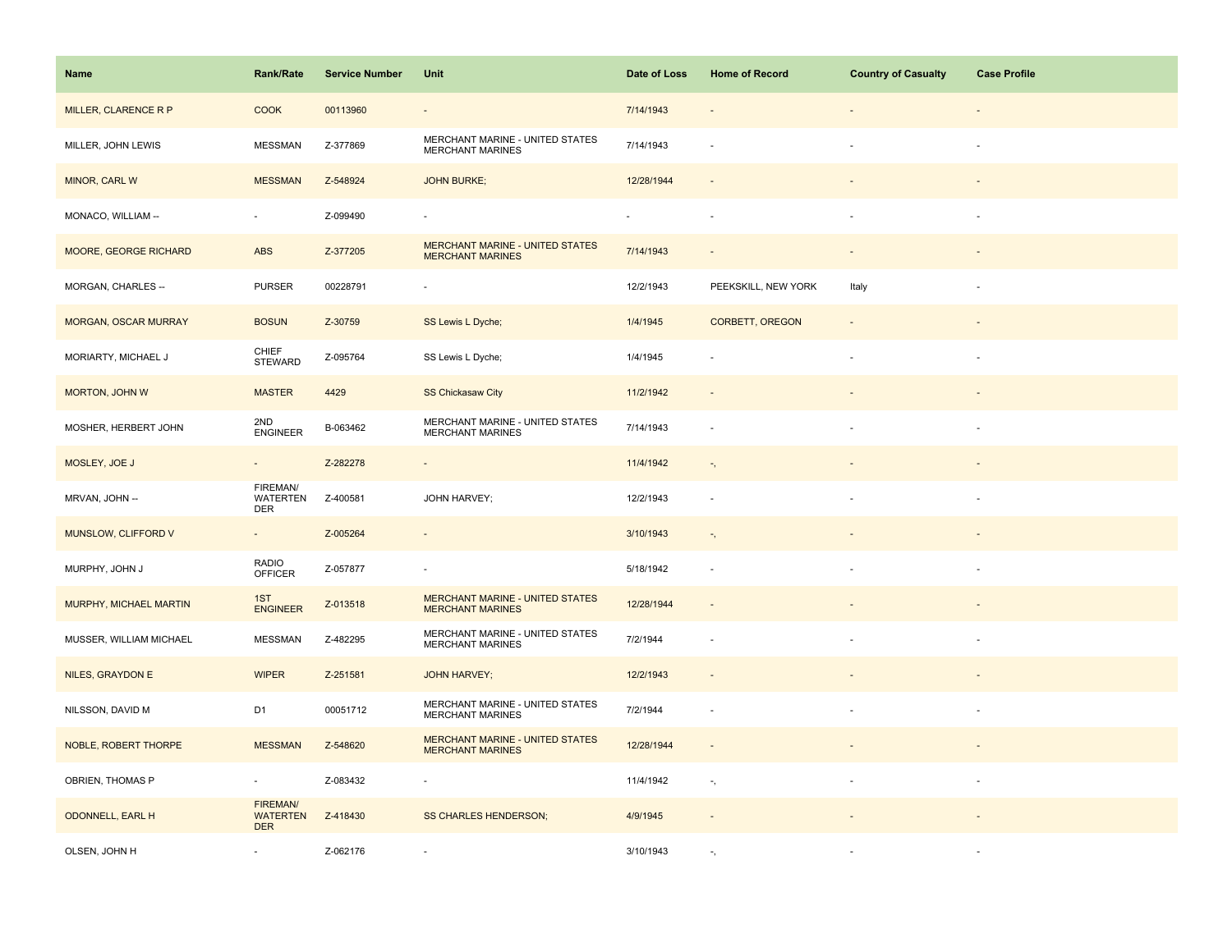| Name                    | <b>Rank/Rate</b>                                 | <b>Service Number</b> | Unit                                                              | Date of Loss | <b>Home of Record</b>      | <b>Country of Casualty</b> | <b>Case Profile</b> |
|-------------------------|--------------------------------------------------|-----------------------|-------------------------------------------------------------------|--------------|----------------------------|----------------------------|---------------------|
| MILLER, CLARENCE R P    | <b>COOK</b>                                      | 00113960              | $\overline{\phantom{a}}$                                          | 7/14/1943    |                            |                            |                     |
| MILLER, JOHN LEWIS      | <b>MESSMAN</b>                                   | Z-377869              | MERCHANT MARINE - UNITED STATES<br><b>MERCHANT MARINES</b>        | 7/14/1943    |                            |                            |                     |
| MINOR, CARL W           | <b>MESSMAN</b>                                   | Z-548924              | <b>JOHN BURKE;</b>                                                | 12/28/1944   | $\sim$                     |                            |                     |
| MONACO, WILLIAM --      | $\omega$                                         | Z-099490              | $\overline{\phantom{a}}$                                          | ٠            | $\overline{\phantom{a}}$   |                            |                     |
| MOORE, GEORGE RICHARD   | <b>ABS</b>                                       | Z-377205              | <b>MERCHANT MARINE - UNITED STATES</b><br><b>MERCHANT MARINES</b> | 7/14/1943    |                            |                            |                     |
| MORGAN, CHARLES --      | <b>PURSER</b>                                    | 00228791              | $\overline{\phantom{a}}$                                          | 12/2/1943    | PEEKSKILL, NEW YORK        | Italy                      |                     |
| MORGAN, OSCAR MURRAY    | <b>BOSUN</b>                                     | Z-30759               | SS Lewis L Dyche;                                                 | 1/4/1945     | <b>CORBETT, OREGON</b>     | $\overline{\phantom{a}}$   |                     |
| MORIARTY, MICHAEL J     | CHIEF<br><b>STEWARD</b>                          | Z-095764              | SS Lewis L Dyche;                                                 | 1/4/1945     |                            |                            |                     |
| MORTON, JOHN W          | <b>MASTER</b>                                    | 4429                  | <b>SS Chickasaw City</b>                                          | 11/2/1942    | $\sim$                     |                            |                     |
| MOSHER, HERBERT JOHN    | 2ND<br><b>ENGINEER</b>                           | B-063462              | MERCHANT MARINE - UNITED STATES<br><b>MERCHANT MARINES</b>        | 7/14/1943    | $\sim$                     |                            | ÷.                  |
| MOSLEY, JOE J           | $\overline{\phantom{a}}$                         | Z-282278              | $\overline{\phantom{a}}$                                          | 11/4/1942    | $\overline{\phantom{a}}$ , |                            |                     |
| MRVAN, JOHN --          | FIREMAN/<br><b>WATERTEN</b><br><b>DER</b>        | Z-400581              | JOHN HARVEY;                                                      | 12/2/1943    |                            |                            |                     |
| MUNSLOW, CLIFFORD V     | $\sim$                                           | Z-005264              | $\Box$                                                            | 3/10/1943    | $\overline{\phantom{a}}$ , |                            |                     |
| MURPHY, JOHN J          | <b>RADIO</b><br><b>OFFICER</b>                   | Z-057877              | $\overline{\phantom{a}}$                                          | 5/18/1942    | $\sim$                     |                            |                     |
| MURPHY, MICHAEL MARTIN  | 1ST<br><b>ENGINEER</b>                           | Z-013518              | <b>MERCHANT MARINE - UNITED STATES</b><br><b>MERCHANT MARINES</b> | 12/28/1944   |                            |                            |                     |
| MUSSER, WILLIAM MICHAEL | <b>MESSMAN</b>                                   | Z-482295              | MERCHANT MARINE - UNITED STATES<br><b>MERCHANT MARINES</b>        | 7/2/1944     | $\sim$                     |                            | $\sim$              |
| <b>NILES, GRAYDON E</b> | <b>WIPER</b>                                     | Z-251581              | <b>JOHN HARVEY;</b>                                               | 12/2/1943    | $\sim$                     |                            |                     |
| NILSSON, DAVID M        | D <sub>1</sub>                                   | 00051712              | MERCHANT MARINE - UNITED STATES<br><b>MERCHANT MARINES</b>        | 7/2/1944     |                            |                            |                     |
| NOBLE, ROBERT THORPE    | <b>MESSMAN</b>                                   | Z-548620              | MERCHANT MARINE - UNITED STATES<br><b>MERCHANT MARINES</b>        | 12/28/1944   | $\sim$                     |                            |                     |
| OBRIEN, THOMAS P        | $\sim$                                           | Z-083432              |                                                                   | 11/4/1942    | $\overline{\phantom{a}}$ , |                            | $\sim$              |
| <b>ODONNELL, EARL H</b> | <b>FIREMAN/</b><br><b>WATERTEN</b><br><b>DER</b> | Z-418430              | <b>SS CHARLES HENDERSON;</b>                                      | 4/9/1945     |                            |                            |                     |
| OLSEN, JOHN H           |                                                  | Z-062176              |                                                                   | 3/10/1943    |                            |                            |                     |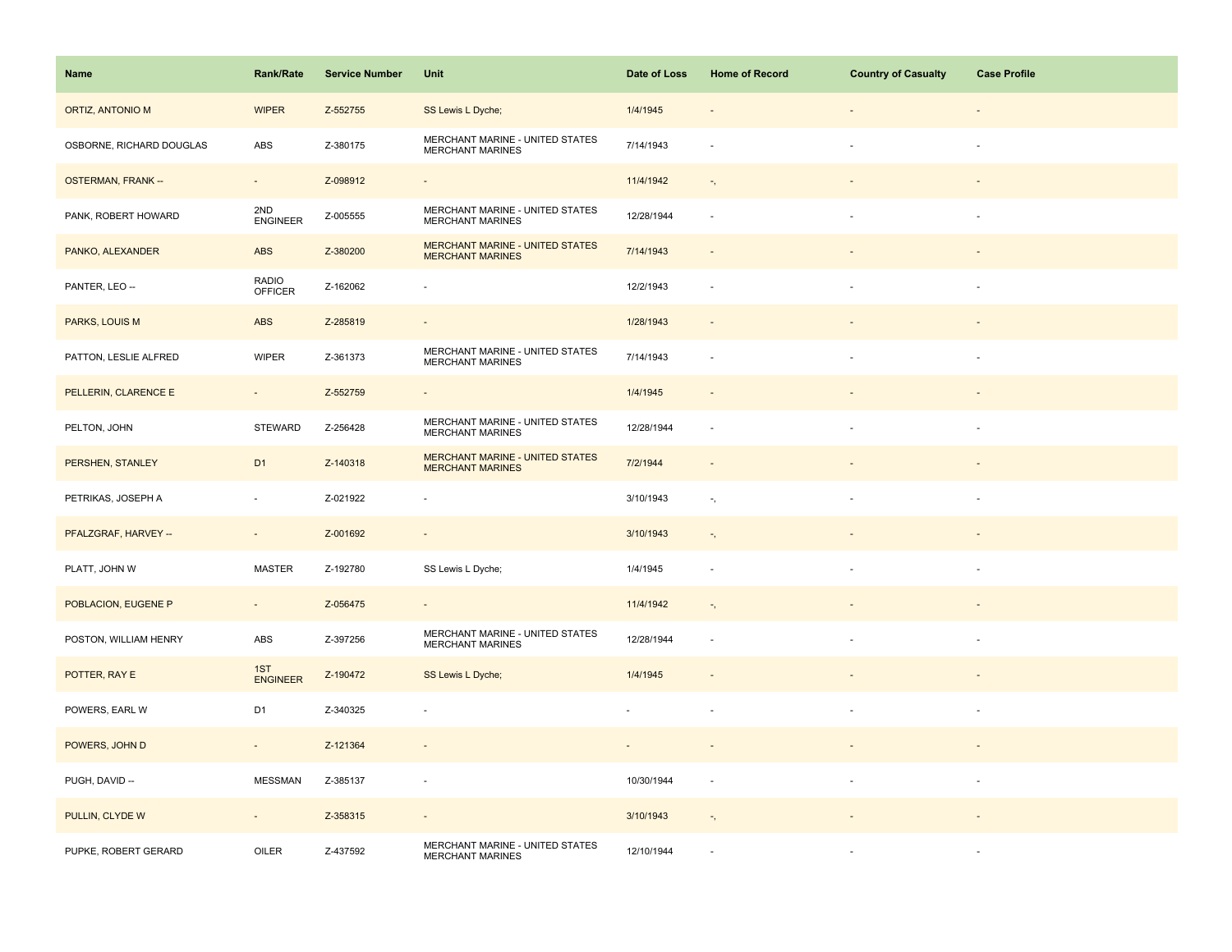| Name                     | <b>Rank/Rate</b>         | <b>Service Number</b> | Unit                                                              | Date of Loss | <b>Home of Record</b>      | <b>Country of Casualty</b> | <b>Case Profile</b>      |
|--------------------------|--------------------------|-----------------------|-------------------------------------------------------------------|--------------|----------------------------|----------------------------|--------------------------|
| ORTIZ, ANTONIO M         | <b>WIPER</b>             | Z-552755              | SS Lewis L Dyche;                                                 | 1/4/1945     |                            |                            |                          |
| OSBORNE, RICHARD DOUGLAS | ABS                      | Z-380175              | MERCHANT MARINE - UNITED STATES<br><b>MERCHANT MARINES</b>        | 7/14/1943    |                            |                            |                          |
| <b>OSTERMAN, FRANK--</b> | $\sim$                   | Z-098912              | $\equiv$                                                          | 11/4/1942    | $\overline{\phantom{a}}$ , |                            | $\overline{\phantom{a}}$ |
| PANK, ROBERT HOWARD      | 2ND<br><b>ENGINEER</b>   | Z-005555              | MERCHANT MARINE - UNITED STATES<br><b>MERCHANT MARINES</b>        | 12/28/1944   | $\sim$                     |                            | $\sim$                   |
| PANKO, ALEXANDER         | ABS                      | Z-380200              | <b>MERCHANT MARINE - UNITED STATES</b><br><b>MERCHANT MARINES</b> | 7/14/1943    |                            |                            |                          |
| PANTER, LEO --           | RADIO<br><b>OFFICER</b>  | Z-162062              | $\sim$                                                            | 12/2/1943    | $\sim$                     |                            |                          |
| PARKS, LOUIS M           | <b>ABS</b>               | Z-285819              | $\blacksquare$                                                    | 1/28/1943    |                            |                            |                          |
| PATTON, LESLIE ALFRED    | <b>WIPER</b>             | Z-361373              | MERCHANT MARINE - UNITED STATES<br><b>MERCHANT MARINES</b>        | 7/14/1943    |                            |                            |                          |
| PELLERIN, CLARENCE E     | $\blacksquare$           | Z-552759              | $\overline{\phantom{a}}$                                          | 1/4/1945     |                            |                            |                          |
| PELTON, JOHN             | <b>STEWARD</b>           | Z-256428              | MERCHANT MARINE - UNITED STATES<br><b>MERCHANT MARINES</b>        | 12/28/1944   | $\sim$                     |                            | $\overline{\phantom{a}}$ |
| PERSHEN, STANLEY         | D <sub>1</sub>           | Z-140318              | <b>MERCHANT MARINE - UNITED STATES</b><br><b>MERCHANT MARINES</b> | 7/2/1944     | $\sim$                     |                            |                          |
| PETRIKAS, JOSEPH A       | ÷,                       | Z-021922              | $\overline{\phantom{a}}$                                          | 3/10/1943    | $\overline{\phantom{a}}$ , |                            | $\sim$                   |
| PFALZGRAF, HARVEY --     | $\sim$                   | Z-001692              | $\overline{\phantom{a}}$                                          | 3/10/1943    | $\overline{\phantom{a}}$ , |                            |                          |
| PLATT, JOHN W            | <b>MASTER</b>            | Z-192780              | SS Lewis L Dyche;                                                 | 1/4/1945     | $\sim$                     |                            |                          |
| POBLACION, EUGENE P      | $\blacksquare$           | Z-056475              | $\overline{\phantom{a}}$                                          | 11/4/1942    | $\overline{\phantom{a}}$ , |                            |                          |
| POSTON, WILLIAM HENRY    | ABS                      | Z-397256              | MERCHANT MARINE - UNITED STATES<br><b>MERCHANT MARINES</b>        | 12/28/1944   |                            |                            |                          |
| POTTER, RAY E            | 1ST<br>ENGINEER          | Z-190472              | SS Lewis L Dyche;                                                 | 1/4/1945     |                            |                            |                          |
| POWERS, EARL W           | D <sub>1</sub>           | Z-340325              | ÷,                                                                |              |                            |                            |                          |
| POWERS, JOHN D           | $\overline{\phantom{a}}$ | Z-121364              |                                                                   |              |                            |                            |                          |
| PUGH, DAVID --           | <b>MESSMAN</b>           | Z-385137              | $\overline{\phantom{a}}$                                          | 10/30/1944   | $\sim$                     |                            |                          |
| PULLIN, CLYDE W          | $\sim$                   | Z-358315              | $\overline{\phantom{a}}$                                          | 3/10/1943    | $\overline{\phantom{a}}$ , |                            |                          |
| PUPKE, ROBERT GERARD     | OILER                    | Z-437592              | MERCHANT MARINE - UNITED STATES<br><b>MERCHANT MARINES</b>        | 12/10/1944   |                            |                            |                          |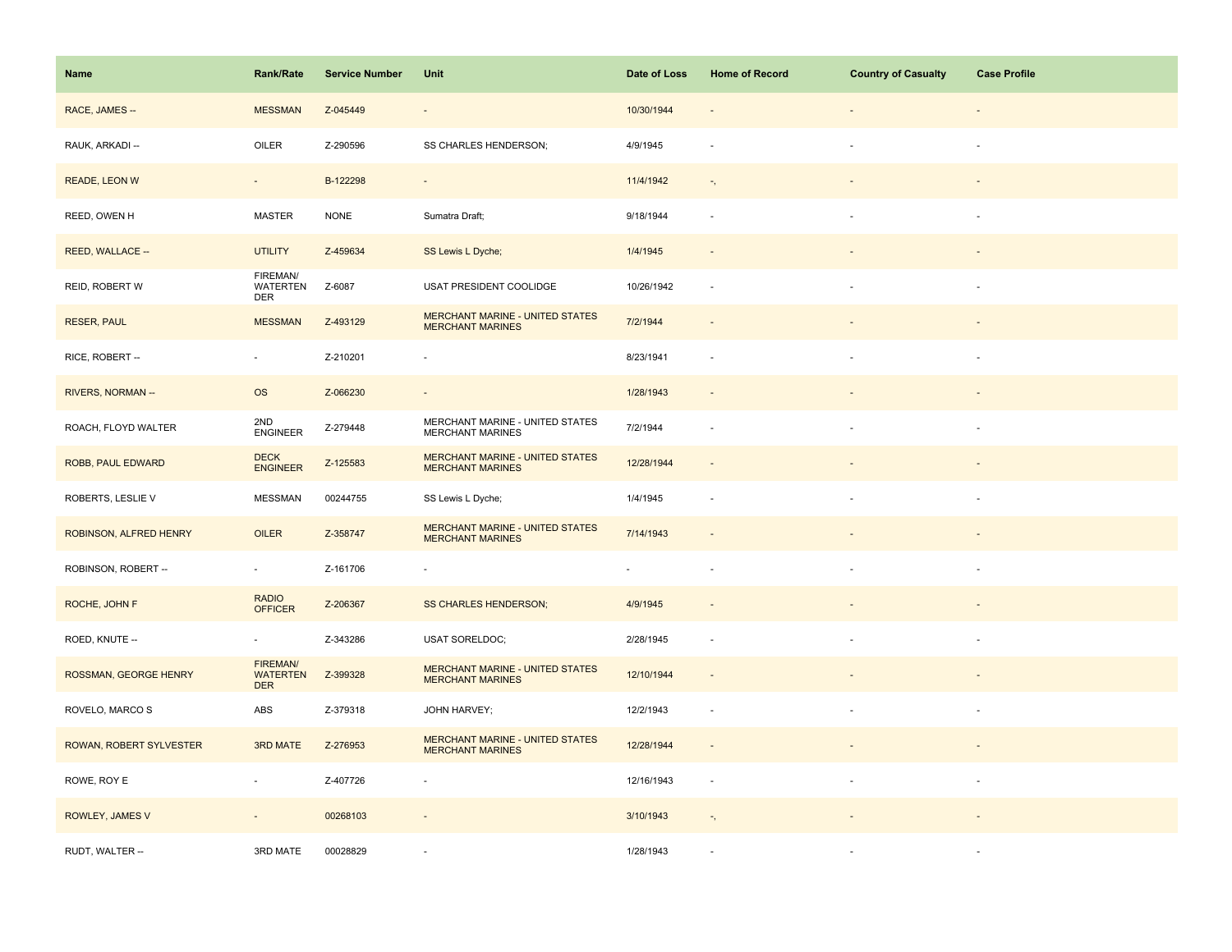| Name                    | <b>Rank/Rate</b>                                 | <b>Service Number</b> | Unit                                                              | Date of Loss   | <b>Home of Record</b>      | <b>Country of Casualty</b> | <b>Case Profile</b> |
|-------------------------|--------------------------------------------------|-----------------------|-------------------------------------------------------------------|----------------|----------------------------|----------------------------|---------------------|
| RACE, JAMES --          | <b>MESSMAN</b>                                   | Z-045449              | $\overline{\phantom{a}}$                                          | 10/30/1944     |                            |                            |                     |
| RAUK, ARKADI --         | OILER                                            | Z-290596              | SS CHARLES HENDERSON;                                             | 4/9/1945       |                            |                            |                     |
| READE, LEON W           | $\sim$                                           | B-122298              | $\blacksquare$                                                    | 11/4/1942      | $\overline{\phantom{a}}$ , |                            |                     |
| REED, OWEN H            | <b>MASTER</b>                                    | <b>NONE</b>           | Sumatra Draft;                                                    | 9/18/1944      | $\sim$                     |                            | $\sim$              |
| REED, WALLACE --        | <b>UTILITY</b>                                   | Z-459634              | SS Lewis L Dyche;                                                 | 1/4/1945       |                            |                            |                     |
| REID, ROBERT W          | FIREMAN/<br><b>WATERTEN</b><br><b>DER</b>        | Z-6087                | USAT PRESIDENT COOLIDGE                                           | 10/26/1942     | $\sim$                     |                            |                     |
| <b>RESER, PAUL</b>      | <b>MESSMAN</b>                                   | Z-493129              | MERCHANT MARINE - UNITED STATES<br><b>MERCHANT MARINES</b>        | 7/2/1944       |                            |                            |                     |
| RICE, ROBERT --         | $\overline{\phantom{a}}$                         | Z-210201              | $\overline{\phantom{a}}$                                          | 8/23/1941      |                            |                            |                     |
| RIVERS, NORMAN --       | <b>OS</b>                                        | Z-066230              | $\overline{\phantom{a}}$                                          | 1/28/1943      | $\sim$                     |                            |                     |
| ROACH, FLOYD WALTER     | 2ND<br><b>ENGINEER</b>                           | Z-279448              | MERCHANT MARINE - UNITED STATES<br><b>MERCHANT MARINES</b>        | 7/2/1944       | $\sim$                     |                            | $\sim$              |
| ROBB, PAUL EDWARD       | <b>DECK</b><br><b>ENGINEER</b>                   | Z-125583              | <b>MERCHANT MARINE - UNITED STATES</b><br><b>MERCHANT MARINES</b> | 12/28/1944     |                            |                            |                     |
| ROBERTS, LESLIE V       | <b>MESSMAN</b>                                   | 00244755              | SS Lewis L Dyche;                                                 | 1/4/1945       |                            |                            |                     |
| ROBINSON, ALFRED HENRY  | OILER                                            | Z-358747              | <b>MERCHANT MARINE - UNITED STATES</b><br><b>MERCHANT MARINES</b> | 7/14/1943      |                            |                            |                     |
| ROBINSON, ROBERT --     | $\overline{\phantom{a}}$                         | Z-161706              | $\overline{\phantom{a}}$                                          | $\blacksquare$ |                            |                            |                     |
| ROCHE, JOHN F           | <b>RADIO</b><br><b>OFFICER</b>                   | Z-206367              | <b>SS CHARLES HENDERSON;</b>                                      | 4/9/1945       |                            |                            |                     |
| ROED, KNUTE --          | $\sim$                                           | Z-343286              | <b>USAT SORELDOC;</b>                                             | 2/28/1945      | ÷.                         |                            | $\sim$              |
| ROSSMAN, GEORGE HENRY   | <b>FIREMAN/</b><br><b>WATERTEN</b><br><b>DER</b> | Z-399328              | <b>MERCHANT MARINE - UNITED STATES</b><br><b>MERCHANT MARINES</b> | 12/10/1944     | $\sim$                     |                            |                     |
| ROVELO, MARCO S         | ABS                                              | Z-379318              | JOHN HARVEY;                                                      | 12/2/1943      | $\sim$                     |                            |                     |
| ROWAN, ROBERT SYLVESTER | 3RD MATE                                         | Z-276953              | MERCHANT MARINE - UNITED STATES<br><b>MERCHANT MARINES</b>        | 12/28/1944     | $\sim$                     |                            |                     |
| ROWE, ROY E             | $\overline{\phantom{a}}$                         | Z-407726              | ÷,                                                                | 12/16/1943     | $\sim$                     |                            | $\sim$              |
| ROWLEY, JAMES V         | $\overline{\phantom{a}}$                         | 00268103              | $\overline{\phantom{a}}$                                          | 3/10/1943      | $\overline{\phantom{a}}$ , |                            |                     |
| RUDT, WALTER --         | 3RD MATE                                         | 00028829              |                                                                   | 1/28/1943      |                            |                            |                     |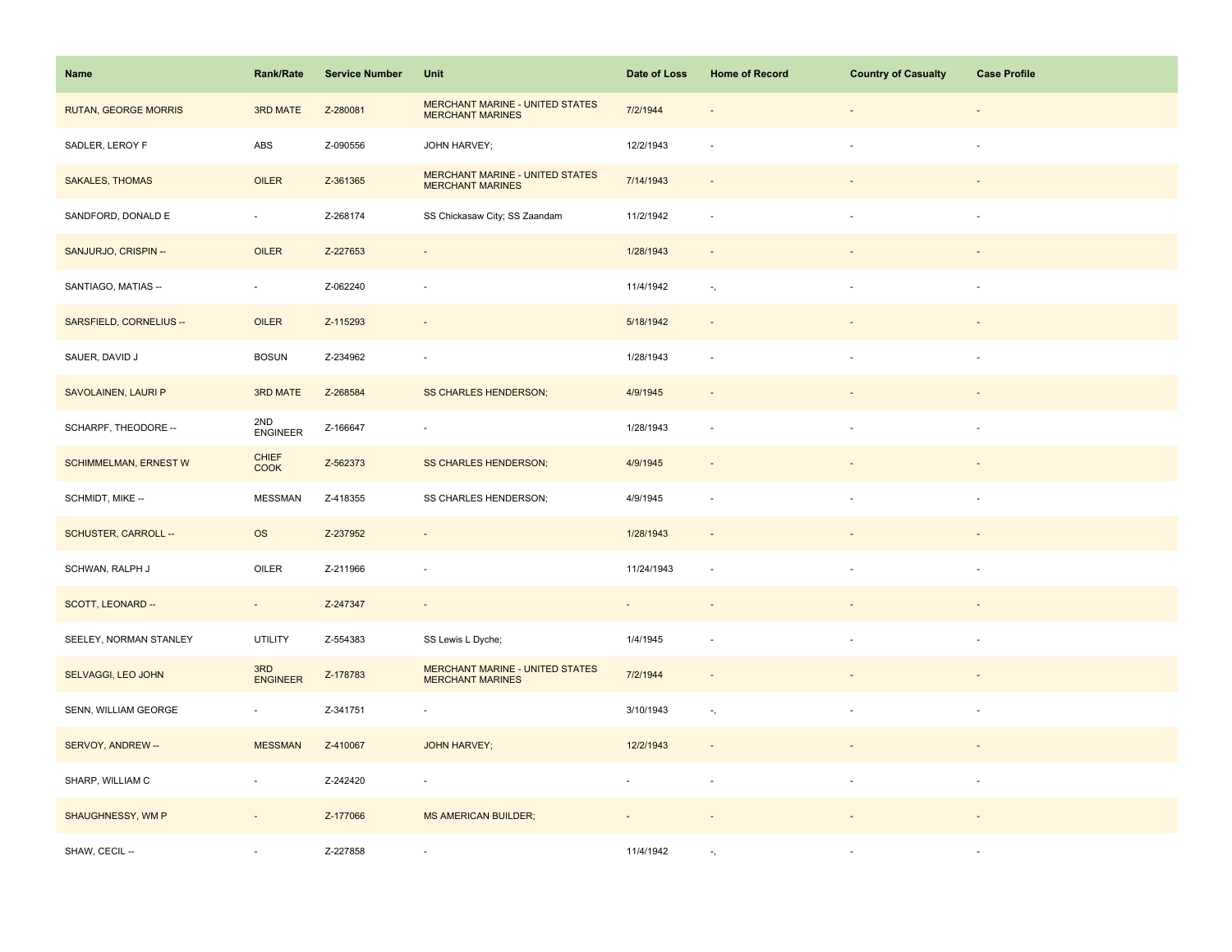| Name                         | <b>Rank/Rate</b>         | <b>Service Number</b> | Unit                                                              | Date of Loss   | <b>Home of Record</b>      | <b>Country of Casualty</b> | <b>Case Profile</b>      |
|------------------------------|--------------------------|-----------------------|-------------------------------------------------------------------|----------------|----------------------------|----------------------------|--------------------------|
| <b>RUTAN, GEORGE MORRIS</b>  | 3RD MATE                 | Z-280081              | <b>MERCHANT MARINE - UNITED STATES</b><br><b>MERCHANT MARINES</b> | 7/2/1944       |                            |                            |                          |
| SADLER, LEROY F              | ABS                      | Z-090556              | JOHN HARVEY;                                                      | 12/2/1943      |                            |                            |                          |
| <b>SAKALES, THOMAS</b>       | OILER                    | Z-361365              | <b>MERCHANT MARINE - UNITED STATES</b><br><b>MERCHANT MARINES</b> | 7/14/1943      | $\sim$                     |                            |                          |
| SANDFORD, DONALD E           | $\sim$                   | Z-268174              | SS Chickasaw City; SS Zaandam                                     | 11/2/1942      | $\sim$                     |                            | $\sim$                   |
| SANJURJO, CRISPIN --         | OILER                    | Z-227653              | $\overline{\phantom{a}}$                                          | 1/28/1943      |                            |                            |                          |
| SANTIAGO, MATIAS --          | $\omega$                 | Z-062240              | ÷,                                                                | 11/4/1942      | $\tau_{\rm s}$             |                            | $\sim$                   |
| SARSFIELD, CORNELIUS --      | OILER                    | Z-115293              | $\blacksquare$                                                    | 5/18/1942      | $\sim$                     |                            |                          |
| SAUER, DAVID J               | <b>BOSUN</b>             | Z-234962              | $\sim$                                                            | 1/28/1943      | $\sim$                     |                            | $\sim$                   |
| SAVOLAINEN, LAURI P          | 3RD MATE                 | Z-268584              | <b>SS CHARLES HENDERSON;</b>                                      | 4/9/1945       | $\overline{\phantom{a}}$   |                            |                          |
| SCHARPF, THEODORE --         | 2ND<br><b>ENGINEER</b>   | Z-166647              | $\blacksquare$                                                    | 1/28/1943      | $\overline{\phantom{a}}$   | ÷.                         | $\overline{\phantom{a}}$ |
| <b>SCHIMMELMAN, ERNEST W</b> | CHIEF<br>COOK            | Z-562373              | <b>SS CHARLES HENDERSON;</b>                                      | 4/9/1945       |                            |                            |                          |
| SCHMIDT, MIKE --             | <b>MESSMAN</b>           | Z-418355              | SS CHARLES HENDERSON;                                             | 4/9/1945       |                            |                            |                          |
| SCHUSTER, CARROLL --         | <b>OS</b>                | Z-237952              | $\overline{\phantom{a}}$                                          | 1/28/1943      | $\sim$                     |                            |                          |
| SCHWAN, RALPH J              | OILER                    | Z-211966              | ÷,                                                                | 11/24/1943     |                            |                            |                          |
| SCOTT, LEONARD --            | $\sim$                   | Z-247347              | $\overline{\phantom{a}}$                                          |                |                            |                            |                          |
| SEELEY, NORMAN STANLEY       | <b>UTILITY</b>           | Z-554383              | SS Lewis L Dyche;                                                 | 1/4/1945       |                            |                            | $\sim$                   |
| SELVAGGI, LEO JOHN           | 3RD<br>ENGINEER          | Z-178783              | MERCHANT MARINE - UNITED STATES<br><b>MERCHANT MARINES</b>        | 7/2/1944       | $\sim$                     |                            |                          |
| SENN, WILLIAM GEORGE         | $\overline{\phantom{a}}$ | Z-341751              | ÷,                                                                | 3/10/1943      | $\overline{\phantom{a}}$ , |                            |                          |
| SERVOY, ANDREW --            | <b>MESSMAN</b>           | Z-410067              | <b>JOHN HARVEY;</b>                                               | 12/2/1943      | $\sim$                     |                            |                          |
| SHARP, WILLIAM C             | $\blacksquare$           | Z-242420              | $\overline{\phantom{a}}$                                          | $\blacksquare$ | $\overline{\phantom{a}}$   | $\blacksquare$             | $\sim$                   |
| SHAUGHNESSY, WM P            | $\overline{\phantom{a}}$ | Z-177066              | <b>MS AMERICAN BUILDER;</b>                                       |                |                            |                            |                          |
| SHAW, CECIL --               |                          | Z-227858              | ä,                                                                | 11/4/1942      |                            |                            |                          |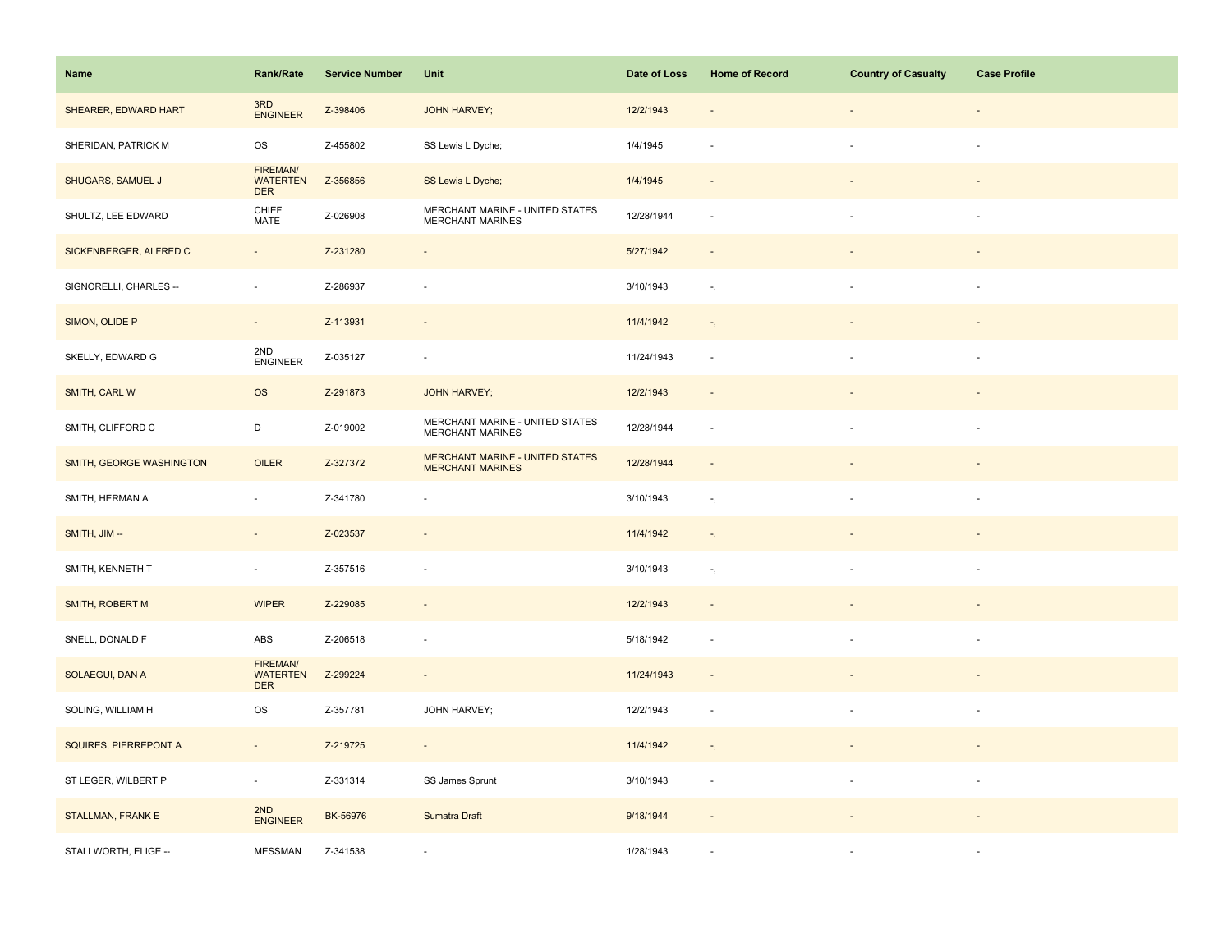| Name                     | <b>Rank/Rate</b>                          | <b>Service Number</b> | Unit                                                       | Date of Loss | <b>Home of Record</b>      | <b>Country of Casualty</b> | <b>Case Profile</b> |
|--------------------------|-------------------------------------------|-----------------------|------------------------------------------------------------|--------------|----------------------------|----------------------------|---------------------|
| SHEARER, EDWARD HART     | 3RD<br><b>ENGINEER</b>                    | Z-398406              | <b>JOHN HARVEY;</b>                                        | 12/2/1943    |                            |                            |                     |
| SHERIDAN, PATRICK M      | OS                                        | Z-455802              | SS Lewis L Dyche;                                          | 1/4/1945     |                            |                            | ×.                  |
| SHUGARS, SAMUEL J        | FIREMAN/<br><b>WATERTEN</b><br><b>DER</b> | Z-356856              | SS Lewis L Dyche;                                          | 1/4/1945     | $\sim$                     |                            |                     |
| SHULTZ, LEE EDWARD       | CHIEF<br>MATE                             | Z-026908              | MERCHANT MARINE - UNITED STATES<br>MERCHANT MARINES        | 12/28/1944   | $\sim$                     |                            | $\sim$              |
| SICKENBERGER, ALFRED C   | $\overline{\phantom{a}}$                  | Z-231280              | ÷,                                                         | 5/27/1942    |                            |                            |                     |
| SIGNORELLI, CHARLES --   | $\blacksquare$                            | Z-286937              | ÷,                                                         | 3/10/1943    | $\tau_{\rm s}$             |                            |                     |
| SIMON, OLIDE P           | $\omega$                                  | Z-113931              | $\omega$                                                   | 11/4/1942    | $\overline{\phantom{a}}$ , |                            |                     |
| SKELLY, EDWARD G         | 2ND<br><b>ENGINEER</b>                    | Z-035127              | ÷,                                                         | 11/24/1943   | $\sim$                     |                            | $\sim$              |
| SMITH, CARL W            | <b>OS</b>                                 | Z-291873              | <b>JOHN HARVEY;</b>                                        | 12/2/1943    | $\overline{\phantom{a}}$   |                            |                     |
| SMITH, CLIFFORD C        | D                                         | Z-019002              | MERCHANT MARINE - UNITED STATES<br><b>MERCHANT MARINES</b> | 12/28/1944   | $\sim$                     | $\sim$                     | $\sim$              |
| SMITH, GEORGE WASHINGTON | OILER                                     | Z-327372              | MERCHANT MARINE - UNITED STATES<br><b>MERCHANT MARINES</b> | 12/28/1944   | $\sim$                     |                            |                     |
| SMITH, HERMAN A          | ÷,                                        | Z-341780              |                                                            | 3/10/1943    | $\overline{\phantom{a}}$ , |                            |                     |
| SMITH, JIM --            | $\omega$                                  | Z-023537              | $\omega$                                                   | 11/4/1942    | $\overline{\phantom{a}}$ , |                            |                     |
| SMITH, KENNETH T         | $\overline{\phantom{a}}$                  | Z-357516              | ÷,                                                         | 3/10/1943    | $\overline{\phantom{a}}$ , |                            |                     |
| <b>SMITH, ROBERT M</b>   | <b>WIPER</b>                              | Z-229085              | $\overline{\phantom{m}}$                                   | 12/2/1943    |                            |                            |                     |
| SNELL, DONALD F          | ABS                                       | Z-206518              | $\overline{\phantom{a}}$                                   | 5/18/1942    | $\sim$                     |                            | $\sim$              |
| SOLAEGUI, DAN A          | FIREMAN/<br><b>WATERTEN</b><br><b>DER</b> | Z-299224              | $\overline{\phantom{a}}$                                   | 11/24/1943   | $\overline{\phantom{a}}$   |                            |                     |
| SOLING, WILLIAM H        | <b>OS</b>                                 | Z-357781              | JOHN HARVEY;                                               | 12/2/1943    | $\sim$                     |                            | $\sim$              |
| SQUIRES, PIERREPONT A    | $\blacksquare$                            | Z-219725              | $\overline{\phantom{a}}$                                   | 11/4/1942    | $\overline{\phantom{a}}$ , |                            |                     |
| ST LEGER, WILBERT P      | $\overline{\phantom{a}}$                  | Z-331314              | SS James Sprunt                                            | 3/10/1943    | $\sim$                     | $\sim$                     | $\sim$              |
| <b>STALLMAN, FRANK E</b> | 2ND<br><b>ENGINEER</b>                    | BK-56976              | Sumatra Draft                                              | 9/18/1944    |                            |                            |                     |
| STALLWORTH, ELIGE --     | <b>MESSMAN</b>                            | Z-341538              |                                                            | 1/28/1943    |                            |                            |                     |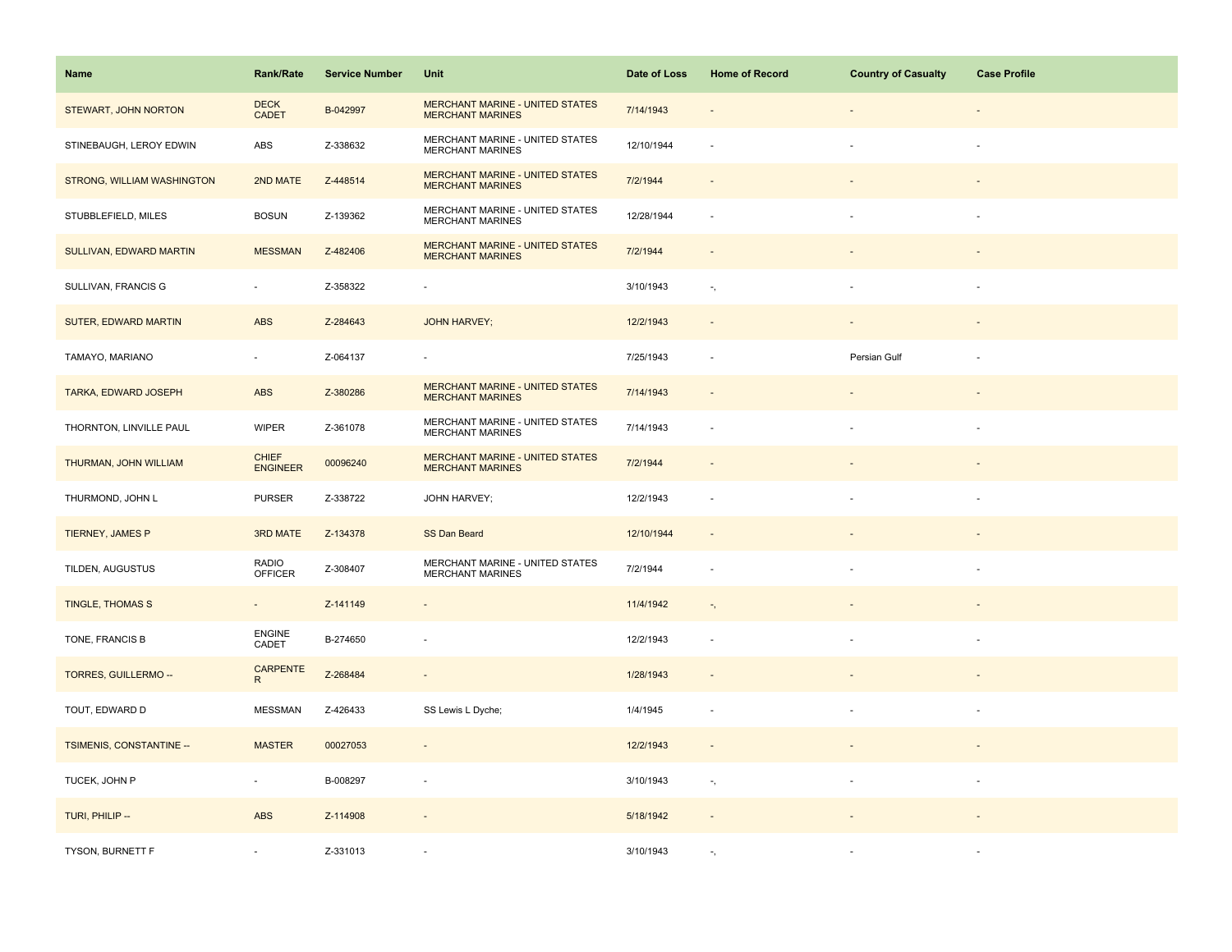| Name                        | <b>Rank/Rate</b>                | <b>Service Number</b> | Unit                                                              | Date of Loss | <b>Home of Record</b>      | <b>Country of Casualty</b> | <b>Case Profile</b> |
|-----------------------------|---------------------------------|-----------------------|-------------------------------------------------------------------|--------------|----------------------------|----------------------------|---------------------|
| STEWART, JOHN NORTON        | <b>DECK</b><br><b>CADET</b>     | B-042997              | <b>MERCHANT MARINE - UNITED STATES</b><br><b>MERCHANT MARINES</b> | 7/14/1943    |                            |                            |                     |
| STINEBAUGH, LEROY EDWIN     | ABS                             | Z-338632              | MERCHANT MARINE - UNITED STATES<br><b>MERCHANT MARINES</b>        | 12/10/1944   |                            |                            |                     |
| STRONG, WILLIAM WASHINGTON  | 2ND MATE                        | Z-448514              | <b>MERCHANT MARINE - UNITED STATES</b><br><b>MERCHANT MARINES</b> | 7/2/1944     |                            |                            |                     |
| STUBBLEFIELD, MILES         | <b>BOSUN</b>                    | Z-139362              | MERCHANT MARINE - UNITED STATES<br><b>MERCHANT MARINES</b>        | 12/28/1944   | $\sim$                     |                            |                     |
| SULLIVAN, EDWARD MARTIN     | <b>MESSMAN</b>                  | Z-482406              | <b>MERCHANT MARINE - UNITED STATES</b><br><b>MERCHANT MARINES</b> | 7/2/1944     |                            |                            |                     |
| SULLIVAN, FRANCIS G         | $\overline{\phantom{a}}$        | Z-358322              | ÷,                                                                | 3/10/1943    | $\overline{\phantom{a}}$ , |                            |                     |
| SUTER, EDWARD MARTIN        | ABS                             | Z-284643              | <b>JOHN HARVEY;</b>                                               | 12/2/1943    | $\sim$                     |                            |                     |
| TAMAYO, MARIANO             | ×                               | Z-064137              |                                                                   | 7/25/1943    |                            | Persian Gulf               |                     |
| TARKA, EDWARD JOSEPH        | <b>ABS</b>                      | Z-380286              | <b>MERCHANT MARINE - UNITED STATES</b><br><b>MERCHANT MARINES</b> | 7/14/1943    | $\overline{\phantom{a}}$   |                            |                     |
| THORNTON, LINVILLE PAUL     | <b>WIPER</b>                    | Z-361078              | MERCHANT MARINE - UNITED STATES<br><b>MERCHANT MARINES</b>        | 7/14/1943    | $\overline{\phantom{a}}$   | ÷.                         |                     |
| THURMAN, JOHN WILLIAM       | <b>CHIEF</b><br><b>ENGINEER</b> | 00096240              | <b>MERCHANT MARINE - UNITED STATES</b><br><b>MERCHANT MARINES</b> | 7/2/1944     |                            |                            |                     |
| THURMOND, JOHN L            | <b>PURSER</b>                   | Z-338722              | <b>JOHN HARVEY:</b>                                               | 12/2/1943    |                            |                            |                     |
| TIERNEY, JAMES P            | 3RD MATE                        | Z-134378              | SS Dan Beard                                                      | 12/10/1944   | $\sim$                     |                            |                     |
| TILDEN, AUGUSTUS            | RADIO<br><b>OFFICER</b>         | Z-308407              | MERCHANT MARINE - UNITED STATES<br><b>MERCHANT MARINES</b>        | 7/2/1944     |                            |                            |                     |
| <b>TINGLE, THOMAS S</b>     | $\blacksquare$                  | Z-141149              | $\frac{1}{2}$                                                     | 11/4/1942    | $\overline{\phantom{a}}$ , |                            |                     |
| TONE, FRANCIS B             | <b>ENGINE</b><br>CADET          | B-274650              | $\overline{\phantom{a}}$                                          | 12/2/1943    | $\sim$                     |                            |                     |
| <b>TORRES, GUILLERMO --</b> | CARPENTE<br>R                   | Z-268484              | $\omega$                                                          | 1/28/1943    | $\sim$                     |                            |                     |
| TOUT, EDWARD D              | <b>MESSMAN</b>                  | Z-426433              | SS Lewis L Dyche;                                                 | 1/4/1945     |                            |                            |                     |
| TSIMENIS, CONSTANTINE --    | <b>MASTER</b>                   | 00027053              | $\overline{\phantom{a}}$                                          | 12/2/1943    | $\sim$                     |                            |                     |
| TUCEK, JOHN P               | $\overline{\phantom{a}}$        | B-008297              | ÷,                                                                | 3/10/1943    | $\overline{\phantom{a}}$ , | ÷,                         |                     |
| TURI, PHILIP --             | <b>ABS</b>                      | Z-114908              | $\centerdot$                                                      | 5/18/1942    |                            |                            |                     |
| TYSON, BURNETT F            |                                 | Z-331013              |                                                                   | 3/10/1943    | ٠,                         |                            |                     |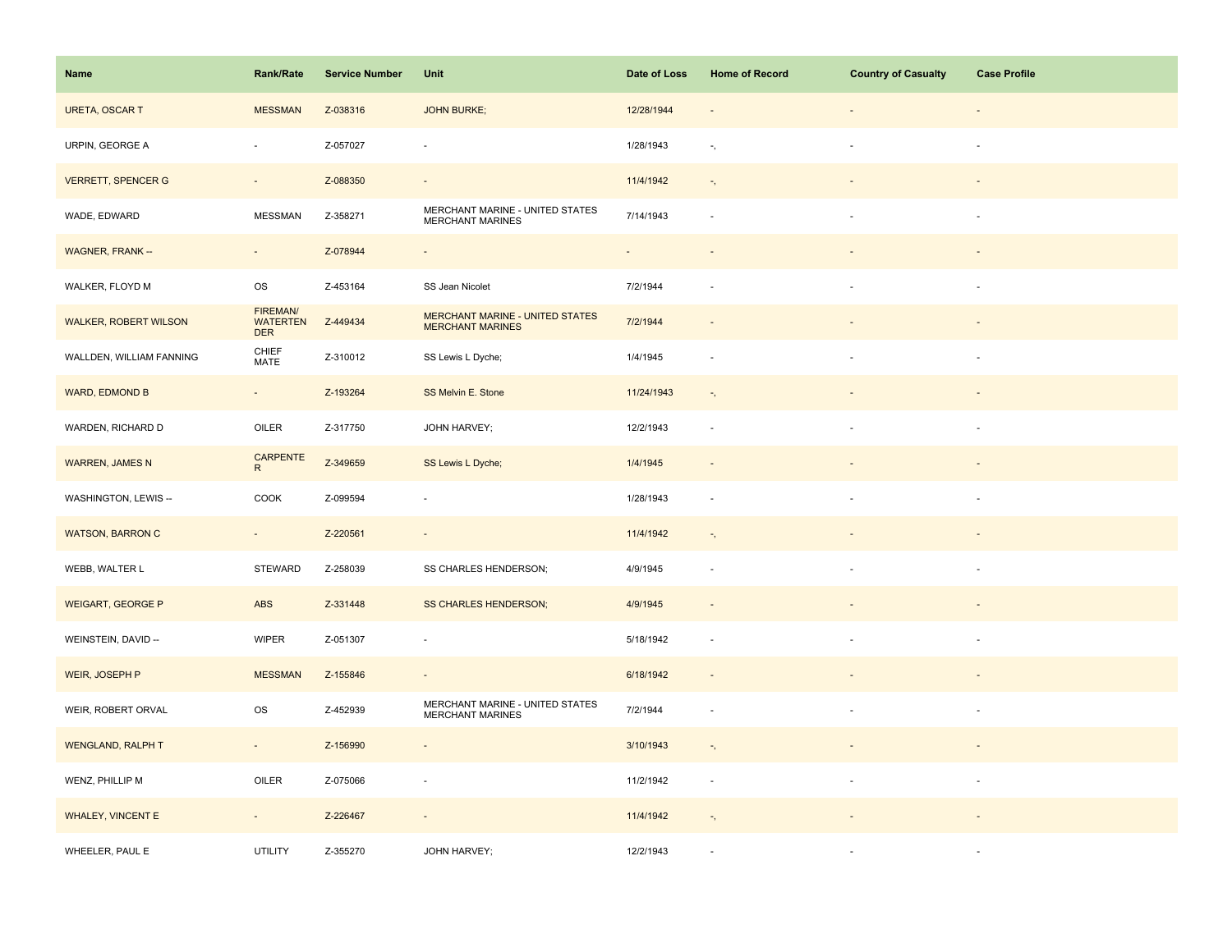| Name                         | <b>Rank/Rate</b>                                 | <b>Service Number</b> | Unit                                                       | Date of Loss | <b>Home of Record</b>      | <b>Country of Casualty</b> | <b>Case Profile</b> |
|------------------------------|--------------------------------------------------|-----------------------|------------------------------------------------------------|--------------|----------------------------|----------------------------|---------------------|
| <b>URETA, OSCAR T</b>        | <b>MESSMAN</b>                                   | Z-038316              | <b>JOHN BURKE;</b>                                         | 12/28/1944   | $\overline{\phantom{a}}$   |                            |                     |
| URPIN, GEORGE A              | $\blacksquare$                                   | Z-057027              | ä,                                                         | 1/28/1943    | $\overline{\phantom{a}}$ , |                            | ×.                  |
| <b>VERRETT, SPENCER G</b>    | $\sim$                                           | Z-088350              | $\omega$                                                   | 11/4/1942    | $\overline{\phantom{a}}$ , | $\blacksquare$             |                     |
| WADE, EDWARD                 | <b>MESSMAN</b>                                   | Z-358271              | MERCHANT MARINE - UNITED STATES<br>MERCHANT MARINES        | 7/14/1943    | $\sim$                     | ÷.                         | $\sim$              |
| <b>WAGNER, FRANK--</b>       | $\overline{\phantom{a}}$                         | Z-078944              | $\Box$                                                     |              |                            |                            |                     |
| WALKER, FLOYD M              | OS                                               | Z-453164              | SS Jean Nicolet                                            | 7/2/1944     |                            |                            |                     |
| <b>WALKER, ROBERT WILSON</b> | <b>FIREMAN/</b><br><b>WATERTEN</b><br><b>DER</b> | Z-449434              | MERCHANT MARINE - UNITED STATES<br><b>MERCHANT MARINES</b> | 7/2/1944     |                            |                            |                     |
| WALLDEN, WILLIAM FANNING     | CHIEF<br>MATE                                    | Z-310012              | SS Lewis L Dyche;                                          | 1/4/1945     | $\sim$                     |                            | $\sim$              |
| WARD, EDMOND B               | $\omega_{\rm c}$                                 | Z-193264              | SS Melvin E. Stone                                         | 11/24/1943   | $\overline{\phantom{a}}$ , | $\overline{\phantom{a}}$   |                     |
| WARDEN, RICHARD D            | OILER                                            | Z-317750              | JOHN HARVEY;                                               | 12/2/1943    | $\sim$                     | $\sim$                     | $\sim$              |
| <b>WARREN, JAMES N</b>       | CARPENTE<br>$\overline{R}$                       | Z-349659              | SS Lewis L Dyche;                                          | 1/4/1945     |                            |                            |                     |
| WASHINGTON, LEWIS --         | COOK                                             | Z-099594              | ÷,                                                         | 1/28/1943    |                            |                            |                     |
| <b>WATSON, BARRON C</b>      | $\sim$                                           | Z-220561              | $\omega$                                                   | 11/4/1942    | $\overline{\phantom{a}}$ , |                            |                     |
| WEBB, WALTER L               | <b>STEWARD</b>                                   | Z-258039              | SS CHARLES HENDERSON;                                      | 4/9/1945     | ÷.                         |                            |                     |
| <b>WEIGART, GEORGE P</b>     | ABS                                              | Z-331448              | <b>SS CHARLES HENDERSON;</b>                               | 4/9/1945     |                            |                            |                     |
| WEINSTEIN, DAVID --          | <b>WIPER</b>                                     | Z-051307              | ÷,                                                         | 5/18/1942    | $\sim$                     |                            | $\sim$              |
| WEIR, JOSEPH P               | <b>MESSMAN</b>                                   | Z-155846              | $\blacksquare$                                             | 6/18/1942    | $\sim$                     |                            |                     |
| WEIR, ROBERT ORVAL           | OS                                               | Z-452939              | MERCHANT MARINE - UNITED STATES<br>MERCHANT MARINES        | 7/2/1944     | $\sim$                     |                            | $\sim$              |
| <b>WENGLAND, RALPH T</b>     | $\sim$                                           | Z-156990              | $\overline{\phantom{a}}$                                   | 3/10/1943    | $\overline{\phantom{a}}$ , |                            |                     |
| WENZ, PHILLIP M              | OILER                                            | Z-075066              | $\overline{\phantom{a}}$                                   | 11/2/1942    | $\overline{\phantom{a}}$   | $\sim$                     | $\sim$              |
| <b>WHALEY, VINCENT E</b>     | $\overline{\phantom{a}}$                         | Z-226467              | $\overline{\phantom{a}}$                                   | 11/4/1942    | $\gamma_{\rm s}$           |                            |                     |
| WHEELER, PAUL E              | <b>UTILITY</b>                                   | Z-355270              | JOHN HARVEY;                                               | 12/2/1943    |                            |                            |                     |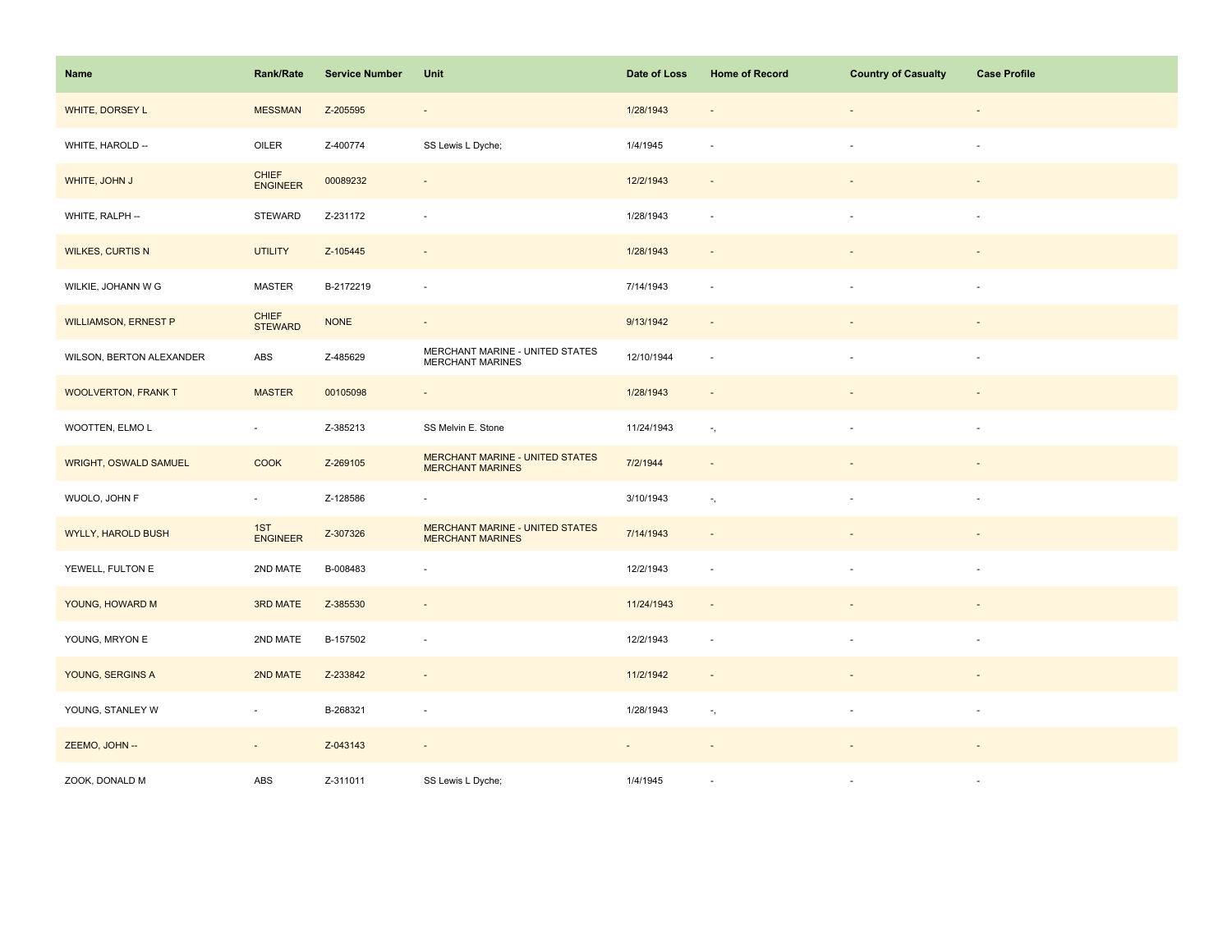| Name                        | <b>Rank/Rate</b>                | <b>Service Number</b> | Unit                                                              | Date of Loss | <b>Home of Record</b>      | <b>Country of Casualty</b> | <b>Case Profile</b> |
|-----------------------------|---------------------------------|-----------------------|-------------------------------------------------------------------|--------------|----------------------------|----------------------------|---------------------|
| WHITE, DORSEY L             | <b>MESSMAN</b>                  | Z-205595              | $\blacksquare$                                                    | 1/28/1943    | $\sim$                     | $\sim$                     | $\sim$              |
| WHITE, HAROLD --            | OILER                           | Z-400774              | SS Lewis L Dyche;                                                 | 1/4/1945     | $\overline{\phantom{a}}$   | ×.                         | $\sim$              |
| WHITE, JOHN J               | <b>CHIEF</b><br><b>ENGINEER</b> | 00089232              | $\overline{\phantom{a}}$                                          | 12/2/1943    | $\overline{\phantom{a}}$   |                            |                     |
| WHITE, RALPH --             | <b>STEWARD</b>                  | Z-231172              | ä,                                                                | 1/28/1943    |                            |                            | $\sim$              |
| <b>WILKES, CURTIS N</b>     | <b>UTILITY</b>                  | Z-105445              | $\overline{\phantom{a}}$                                          | 1/28/1943    |                            |                            |                     |
| WILKIE, JOHANN W G          | MASTER                          | B-2172219             | $\overline{\phantom{a}}$                                          | 7/14/1943    | $\overline{\phantom{a}}$   |                            |                     |
| <b>WILLIAMSON, ERNEST P</b> | <b>CHIEF</b><br><b>STEWARD</b>  | <b>NONE</b>           | $\overline{\phantom{a}}$                                          | 9/13/1942    | $\overline{\phantom{a}}$   |                            |                     |
| WILSON, BERTON ALEXANDER    | ABS                             | Z-485629              | MERCHANT MARINE - UNITED STATES<br><b>MERCHANT MARINES</b>        | 12/10/1944   | $\overline{\phantom{a}}$   |                            | $\sim$              |
| <b>WOOLVERTON, FRANK T</b>  | <b>MASTER</b>                   | 00105098              | $\overline{\phantom{a}}$                                          | 1/28/1943    | $\overline{\phantom{a}}$   |                            |                     |
| WOOTTEN, ELMO L             | $\sim$                          | Z-385213              | SS Melvin E. Stone                                                | 11/24/1943   | ۰,                         |                            | $\sim$              |
| WRIGHT, OSWALD SAMUEL       | <b>COOK</b>                     | Z-269105              | MERCHANT MARINE - UNITED STATES<br><b>MERCHANT MARINES</b>        | 7/2/1944     | $\sim$                     |                            |                     |
| WUOLO, JOHN F               | $\sim$                          | Z-128586              | $\overline{\phantom{a}}$                                          | 3/10/1943    | $\overline{\phantom{a}}$ , |                            | $\sim$              |
| <b>WYLLY, HAROLD BUSH</b>   | 1ST<br>ENGINEER                 | Z-307326              | <b>MERCHANT MARINE - UNITED STATES</b><br><b>MERCHANT MARINES</b> | 7/14/1943    |                            |                            |                     |
| YEWELL, FULTON E            | 2ND MATE                        | B-008483              | $\overline{\phantom{a}}$                                          | 12/2/1943    |                            |                            | $\sim$              |
| YOUNG, HOWARD M             | <b>3RD MATE</b>                 | Z-385530              | $\overline{\phantom{a}}$                                          | 11/24/1943   | $\overline{\phantom{a}}$   |                            |                     |
| YOUNG, MRYON E              | 2ND MATE                        | B-157502              | $\overline{\phantom{a}}$                                          | 12/2/1943    | $\sim$                     | $\sim$                     | $\sim$              |
| YOUNG, SERGINS A            | 2ND MATE                        | Z-233842              | $\overline{\phantom{a}}$                                          | 11/2/1942    | $\overline{\phantom{a}}$   |                            |                     |
| YOUNG, STANLEY W            | $\sim$                          | B-268321              | $\sim$                                                            | 1/28/1943    | $\overline{\phantom{a}}$ , | $\sim$                     | $\sim$              |
| ZEEMO, JOHN --              | $\sim$                          | Z-043143              | $\blacksquare$                                                    | $\sim$       |                            |                            |                     |
| ZOOK, DONALD M              | ABS                             | Z-311011              | SS Lewis L Dyche;                                                 | 1/4/1945     |                            |                            | $\sim$              |